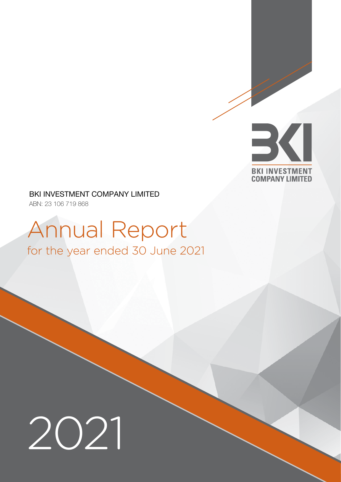

BKI INVESTMENT COMPANY LIMITED ABN: 23 106 719 868

# Annual Report for the year ended 30 June 2021

# 2021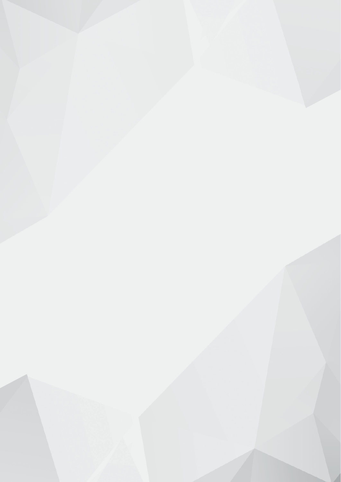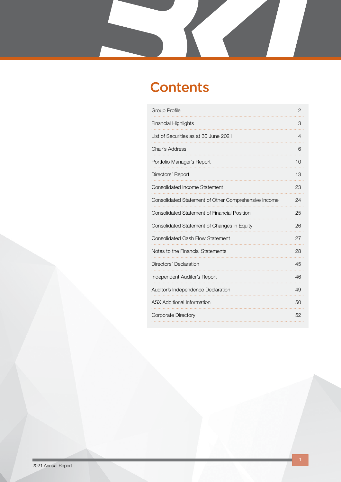# **Contents**

| <b>Group Profile</b>                                 | 2  |
|------------------------------------------------------|----|
| <b>Financial Highlights</b>                          | 3  |
| List of Securities as at 30 June 2021                | 4  |
| Chair's Address                                      | 6  |
| Portfolio Manager's Report                           | 10 |
| Directors' Report                                    | 13 |
| Consolidated Income Statement                        | 23 |
| Consolidated Statement of Other Comprehensive Income | 24 |
| <b>Consolidated Statement of Financial Position</b>  | 25 |
| Consolidated Statement of Changes in Equity          | 26 |
| <b>Consolidated Cash Flow Statement</b>              | 27 |
| Notes to the Financial Statements                    | 28 |
| Directors' Declaration                               | 45 |
| Independent Auditor's Report                         | 46 |
| Auditor's Independence Declaration                   | 49 |
| <b>ASX Additional Information</b>                    | 50 |
| Corporate Directory                                  | 52 |
|                                                      |    |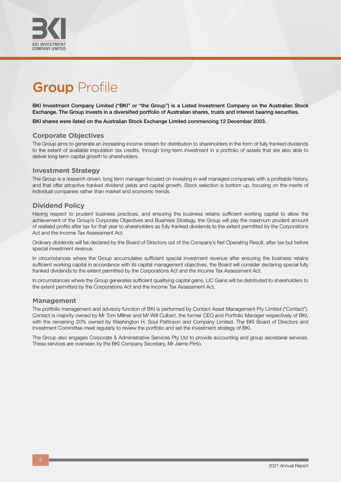<span id="page-3-0"></span>

# **Group Profile**

BKI Investment Company Limited ("BKI" or "the Group") is a Listed Investment Company on the Australian Stock Exchange. The Group invests in a diversified portfolio of Australian shares, trusts and interest bearing securities.

BKI shares were listed on the Australian Stock Exchange Limited commencing 12 December 2003.

#### **Corporate Objectives**

The Group aims to generate an increasing income stream for distribution to shareholders in the form of fully franked dividends to the extent of available imputation tax credits, through long-term investment in a portfolio of assets that are also able to deliver long term capital growth to shareholders.

#### **Investment Strategy**

The Group is a research driven, long term manager focused on investing in well managed companies with a profitable history, and that offer attractive franked dividend yields and capital growth. Stock selection is bottom up, focusing on the merits of individual companies rather than market and economic trends.

#### **Dividend Policy**

Having respect to prudent business practices, and ensuring the business retains sufficient working capital to allow the achievement of the Group's Corporate Objectives and Business Strategy, the Group will pay the maximum prudent amount of realised profits after tax for that year to shareholders as fully franked dividends to the extent permitted by the Corporations Act and the Income Tax Assessment Act.

Ordinary dividends will be declared by the Board of Directors out of the Company's Net Operating Result, after tax but before special investment revenue.

In circumstances where the Group accumulates sufficient special investment revenue after ensuring the business retains sufficient working capital in accordance with its capital management objectives, the Board will consider declaring special fully franked dividends to the extent permitted by the Corporations Act and the Income Tax Assessment Act.

In circumstances where the Group generates sufficient qualifying capital gains, LIC Gains will be distributed to shareholders to the extent permitted by the Corporations Act and the Income Tax Assessment Act.

#### **Management**

The portfolio management and advisory function of BKI is performed by Contact Asset Management Pty Limited ("Contact"). Contact is majority owned by Mr Tom Millner and Mr Will Culbert, the former CEO and Portfolio Manager respectively of BKI, with the remaining 20% owned by Washington H. Soul Pattinson and Company Limited. The BKI Board of Directors and Investment Committee meet regularly to review the portfolio and set the investment strategy of BKI.

The Group also engages Corporate & Administrative Services Pty Ltd to provide accounting and group secretarial services. These services are overseen by the BKI Company Secretary, Mr Jaime Pinto.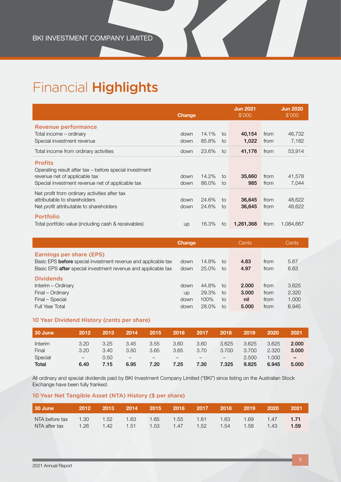# <span id="page-4-0"></span>Financial Highlights

|                                                                                                                                                               | <b>Change</b> |                   |          | <b>Jun 2021</b><br>\$'000 |              | <b>Jun 2020</b><br>\$'000 |
|---------------------------------------------------------------------------------------------------------------------------------------------------------------|---------------|-------------------|----------|---------------------------|--------------|---------------------------|
| <b>Revenue performance</b><br>Total income – ordinary<br>Special investment revenue                                                                           | down<br>down  | $14.1\%$<br>85.8% | to<br>to | 40.154<br>1,022           | from<br>from | 46,732<br>7,182           |
| Total income from ordinary activities                                                                                                                         | down          | 23.6%             | to       | 41,176                    | from         | 53,914                    |
| <b>Profits</b><br>Operating result after tax – before special investment<br>revenue net of applicable tax<br>Special investment revenue net of applicable tax | down<br>down  | 14.2%<br>86.0%    | to<br>to | 35,660<br>985             | from<br>from | 41,578<br>7,044           |
| Net profit from ordinary activities after tax<br>attributable to shareholders<br>Net profit attributable to shareholders                                      | down<br>down  | 24.6%<br>24.6%    | to<br>to | 36,645<br>36,645          | from<br>from | 48,622<br>48,622          |
| <b>Portfolio</b><br>Total portfolio value (including cash & receivables)                                                                                      | <b>up</b>     | 16.3%             | to       | 1,261,368                 | from         | 1,084,667                 |

|                                                                                                                                                                           | <b>Change</b> |                |          | Cents        |              | Cents        |
|---------------------------------------------------------------------------------------------------------------------------------------------------------------------------|---------------|----------------|----------|--------------|--------------|--------------|
| <b>Earnings per share (EPS)</b><br>Basic EPS before special investment revenue and applicable tax<br>Basic EPS <b>after</b> special investment revenue and applicable tax | down<br>down  | 14.8%<br>25.0% | to<br>to | 4.83<br>4.97 | from<br>from | 5.67<br>6.63 |
| <b>Dividends</b>                                                                                                                                                          |               |                |          |              |              |              |
| Interim – Ordinary                                                                                                                                                        | down          | 44.8%          | to       | 2.000        | from         | 3.625        |
| Final - Ordinary                                                                                                                                                          | <b>up</b>     | 29.3%          | to       | 3.000        | from         | 2.320        |
| Final - Special                                                                                                                                                           | down          | 100%           | to       | nil          | from         | 1.000        |
| <b>Full Year Total</b>                                                                                                                                                    | down          | 28.0%          | to       | 5.000        | from         | 6.945        |

#### **10 Year Dividend History (cents per share)**

| 30 June | 2012              | 2013 | 2014                     | 2015                     | 2016 | 2017 | 2018                     | 2019  | 2020  | 2021  |
|---------|-------------------|------|--------------------------|--------------------------|------|------|--------------------------|-------|-------|-------|
| Interim | 3.20              | 3.25 | 3.45                     | 3.55                     | 3.60 | 3.60 | 3.625                    | 3.625 | 3.625 | 2.000 |
| Final   | 3.20              | 3.40 | 3.50                     | 3.65                     | 3.65 | 3.70 | 3.700                    | 3.700 | 2.320 | 3.000 |
| Special | $\qquad \qquad -$ | 0.50 | $\overline{\phantom{0}}$ | $\overline{\phantom{m}}$ |      |      | $\overline{\phantom{m}}$ | 2.500 | 1.000 | -     |
| Total   | 6.40              | 7.15 | 6.95                     | 7.20                     | 7.25 | 7.30 | 7.325                    | 9.825 | 6.945 | 5.000 |

All ordinary and special dividends paid by BKI Investment Company Limited ("BKI") since listing on the Australian Stock Exchange have been fully franked.

#### **10 Year Net Tangible Asset (NTA) History (\$ per share)**

| 30 June             | 2012 | 72013 7 |           |      |           |         | 2014 2015 2016 2017 2018 2019 |      | 2020 | 2021 |
|---------------------|------|---------|-----------|------|-----------|---------|-------------------------------|------|------|------|
| NTA before tax 1.30 |      | 1.52    | 1.63      | 1.65 | 1.55      | 1.61    | 1.63                          | 1.69 | 1.47 | 1.71 |
| NTA after tax       | 1.26 |         | 1.42 1.51 |      | 1.53 1.47 | $-1.52$ | 1.54                          | 1.58 | 1.43 | 1.59 |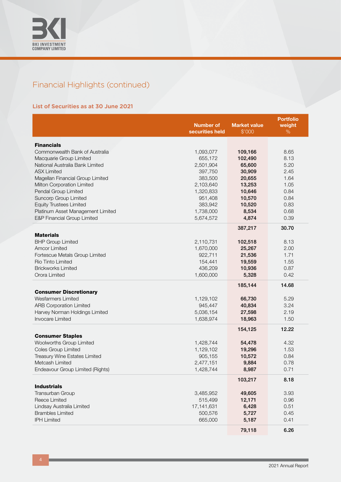<span id="page-5-0"></span>

# Financial Highlights (continued)

#### **List of Securities as at 30 June 2021**

|                                                                                                                                                                                                                                                                                                                                                                         | <b>Number of</b><br>securities held                                                                                               | <b>Market value</b><br>\$'000                                                                              | <b>Portfolio</b><br>weight<br>%                                                      |
|-------------------------------------------------------------------------------------------------------------------------------------------------------------------------------------------------------------------------------------------------------------------------------------------------------------------------------------------------------------------------|-----------------------------------------------------------------------------------------------------------------------------------|------------------------------------------------------------------------------------------------------------|--------------------------------------------------------------------------------------|
| <b>Financials</b><br>Commonwealth Bank of Australia<br>Macquarie Group Limited<br>National Australia Bank Limited<br><b>ASX Limited</b><br>Magellan Financial Group Limited<br>Milton Corporation Limited<br>Pendal Group Limited<br><b>Suncorp Group Limited</b><br><b>Equity Trustees Limited</b><br>Platinum Asset Management Limited<br>E&P Financial Group Limited | 1,093,077<br>655,172<br>2,501,904<br>397,750<br>383,500<br>2,103,640<br>1,320,833<br>951,408<br>383,942<br>1,738,000<br>5,674,572 | 109,166<br>102,490<br>65,600<br>30,909<br>20,655<br>13,253<br>10,646<br>10,570<br>10,520<br>8,534<br>4,874 | 8.65<br>8.13<br>5.20<br>2.45<br>1.64<br>1.05<br>0.84<br>0.84<br>0.83<br>0.68<br>0.39 |
| <b>Materials</b><br><b>BHP Group Limited</b><br><b>Amcor Limited</b><br>Fortescue Metals Group Limited<br>Rio Tinto Limited<br><b>Brickworks Limited</b><br>Orora Limited                                                                                                                                                                                               | 2,110,731<br>1,670,000<br>922,711<br>154,441<br>436,209<br>1,600,000                                                              | 387,217<br>102,518<br>25,267<br>21,536<br>19,559<br>10,936<br>5,328                                        | 30.70<br>8.13<br>2.00<br>1.71<br>1.55<br>0.87<br>0.42                                |
| <b>Consumer Discretionary</b><br><b>Wesfarmers Limited</b><br><b>ARB Corporation Limited</b><br>Harvey Norman Holdings Limited<br>Invocare Limited                                                                                                                                                                                                                      | 1,129,102<br>945,447<br>5,036,154<br>1,638,974                                                                                    | 185,144<br>66,730<br>40,834<br>27,598<br>18,963                                                            | 14.68<br>5.29<br>3.24<br>2.19<br>1.50                                                |
| <b>Consumer Staples</b><br>Woolworths Group Limited<br>Coles Group Limited<br>Treasury Wine Estates Limited<br>Metcash Limited<br>Endeavour Group Limited (Rights)                                                                                                                                                                                                      | 1,428,744<br>1,129,102<br>905,155<br>2,477,151<br>1,428,744                                                                       | 154,125<br>54,478<br>19,296<br>10,572<br>9,884<br>8,987                                                    | 12.22<br>4.32<br>1.53<br>0.84<br>0.78<br>0.71                                        |
| <b>Industrials</b><br>Transurban Group<br>Reece Limited<br>Lindsay Australia Limited<br><b>Brambles Limited</b><br><b>IPH Limited</b>                                                                                                                                                                                                                                   | 3,485,952<br>515,499<br>17,141,631<br>500,576<br>665,000                                                                          | 103,217<br>49,605<br>12,171<br>6,428<br>5,727<br>5,187<br>79,118                                           | 8.18<br>3.93<br>0.96<br>0.51<br>0.45<br>0.41<br>6.26                                 |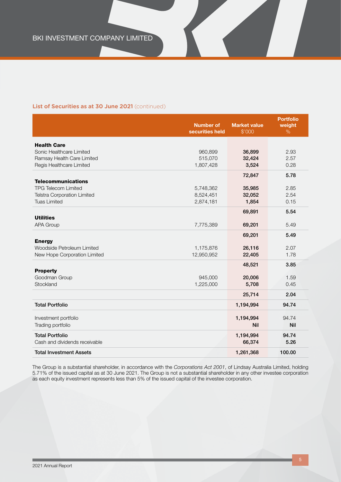#### **List of Securities as at 30 June 2021** (continued)

|                                                                                                                      | <b>Number of</b><br>securities held | <b>Market value</b><br>\$'000       | <b>Portfolio</b><br>weight<br>% |
|----------------------------------------------------------------------------------------------------------------------|-------------------------------------|-------------------------------------|---------------------------------|
| <b>Health Care</b><br>Sonic Healthcare Limited<br>Ramsay Health Care Limited<br>Regis Healthcare Limited             | 960,899<br>515,070<br>1,807,428     | 36,899<br>32,424<br>3,524           | 2.93<br>2.57<br>0.28            |
| <b>Telecommunications</b><br><b>TPG Telecom Limited</b><br><b>Telstra Corporation Limited</b><br><b>Tuas Limited</b> | 5,748,362<br>8,524,451<br>2,874,181 | 72,847<br>35,985<br>32,052<br>1,854 | 5.78<br>2.85<br>2.54<br>0.15    |
| <b>Utilities</b><br>APA Group                                                                                        | 7,775,389                           | 69,891<br>69,201                    | 5.54<br>5.49                    |
| <b>Energy</b><br>Woodside Petroleum Limited<br>New Hope Corporation Limited                                          | 1,175,876<br>12,950,952             | 69,201<br>26,116<br>22,405          | 5.49<br>2.07<br>1.78            |
| <b>Property</b><br>Goodman Group<br>Stockland                                                                        | 945,000<br>1,225,000                | 48,521<br>20,006<br>5,708           | 3.85<br>1.59<br>0.45            |
| <b>Total Portfolio</b>                                                                                               |                                     | 25,714<br>1,194,994                 | 2.04<br>94.74                   |
| Investment portfolio<br>Trading portfolio                                                                            |                                     | 1,194,994<br><b>Nil</b>             | 94.74<br><b>Nil</b>             |
| <b>Total Portfolio</b><br>Cash and dividends receivable                                                              |                                     | 1,194,994<br>66,374                 | 94.74<br>5.26                   |
| <b>Total Investment Assets</b>                                                                                       |                                     | 1,261,368                           | 100.00                          |

The Group is a substantial shareholder, in accordance with the Corporations Act 2001, of Lindsay Australia Limited, holding 5.71% of the issued capital as at 30 June 2021. The Group is not a substantial shareholder in any other investee corporation as each equity investment represents less than 5% of the issued capital of the investee corporation.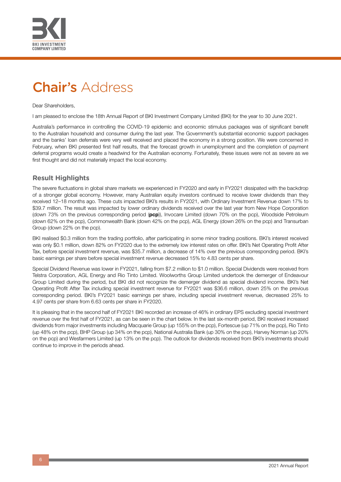<span id="page-7-0"></span>

# Chair's Address

Dear Shareholders,

I am pleased to enclose the 18th Annual Report of BKI Investment Company Limited (BKI) for the year to 30 June 2021.

Australia's performance in controlling the COVID-19 epidemic and economic stimulus packages was of significant benefit to the Australian household and consumer during the last year. The Government's substantial economic support packages and the banks' loan deferrals were very well received and placed the economy in a strong position. We were concerned in February, when BKI presented first half results, that the forecast growth in unemployment and the completion of payment deferral programs would create a headwind for the Australian economy. Fortunately, these issues were not as severe as we first thought and did not materially impact the local economy.

#### **Result Highlights**

The severe fluctuations in global share markets we experienced in FY2020 and early in FY2021 dissipated with the backdrop of a stronger global economy. However, many Australian equity investors continued to receive lower dividends than they received 12–18 months ago. These cuts impacted BKI's results in FY2021, with Ordinary Investment Revenue down 17% to \$39.7 million. The result was impacted by lower ordinary dividends received over the last year from New Hope Corporation (down 73% on the previous corresponding period (pcp)), Invocare Limited (down 70% on the pcp), Woodside Petroleum (down 62% on the pcp), Commonwealth Bank (down 42% on the pcp), AGL Energy (down 26% on the pcp) and Transurban Group (down 22% on the pcp).

BKI realised \$0.3 million from the trading portfolio, after participating in some minor trading positions. BKI's interest received was only \$0.1 million, down 82% on FY2020 due to the extremely low interest rates on offer. BKI's Net Operating Profit After Tax, before special investment revenue, was \$35.7 million, a decrease of 14% over the previous corresponding period. BKI's basic earnings per share before special investment revenue decreased 15% to 4.83 cents per share.

Special Dividend Revenue was lower in FY2021, falling from \$7.2 million to \$1.0 million. Special Dividends were received from Telstra Corporation, AGL Energy and Rio Tinto Limited. Woolworths Group Limited undertook the demerger of Endeavour Group Limited during the period, but BKI did not recognize the demerger dividend as special dividend income. BKI's Net Operating Profit After Tax including special investment revenue for FY2021 was \$36.6 million, down 25% on the previous corresponding period. BKI's FY2021 basic earnings per share, including special investment revenue, decreased 25% to 4.97 cents per share from 6.63 cents per share in FY2020.

It is pleasing that in the second half of FY2021 BKI recorded an increase of 46% in ordinary EPS excluding special investment revenue over the first half of FY2021, as can be seen in the chart below. In the last six-month period, BKI received increased dividends from major investments including Macquarie Group (up 155% on the pcp), Fortescue (up 71% on the pcp), Rio Tinto (up 48% on the pcp), BHP Group (up 34% on the pcp), National Australia Bank (up 30% on the pcp), Harvey Norman (up 20% on the pcp) and Wesfarmers Limited (up 13% on the pcp). The outlook for dividends received from BKI's investments should continue to improve in the periods ahead.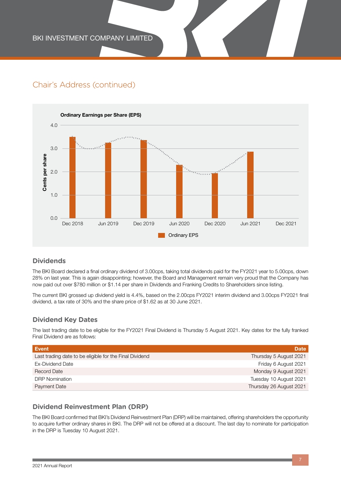# Chair's Address (continued)



#### **Dividends**

The BKI Board declared a final ordinary dividend of 3.00cps, taking total dividends paid for the FY2021 year to 5.00cps, down 28% on last year. This is again disappointing; however, the Board and Management remain very proud that the Company has now paid out over \$780 million or \$1.14 per share in Dividends and Franking Credits to Shareholders since listing.

The current BKI grossed up dividend yield is 4.4%, based on the 2.00cps FY2021 interim dividend and 3.00cps FY2021 final dividend, a tax rate of 30% and the share price of \$1.62 as at 30 June 2021.

#### **Dividend Key Dates**

The last trading date to be eligible for the FY2021 Final Dividend is Thursday 5 August 2021. Key dates for the fully franked Final Dividend are as follows:

| Event                                                   | <b>Date</b>             |
|---------------------------------------------------------|-------------------------|
| Last trading date to be eligible for the Final Dividend | Thursday 5 August 2021  |
| Ex-Dividend Date                                        | Friday 6 August 2021    |
| Record Date                                             | Monday 9 August 2021    |
| <b>DRP</b> Nomination                                   | Tuesday 10 August 2021  |
| Payment Date                                            | Thursday 26 August 2021 |

#### **Dividend Reinvestment Plan (DRP)**

The BKI Board confirmed that BKI's Dividend Reinvestment Plan (DRP) will be maintained, offering shareholders the opportunity to acquire further ordinary shares in BKI. The DRP will not be offered at a discount. The last day to nominate for participation in the DRP is Tuesday 10 August 2021.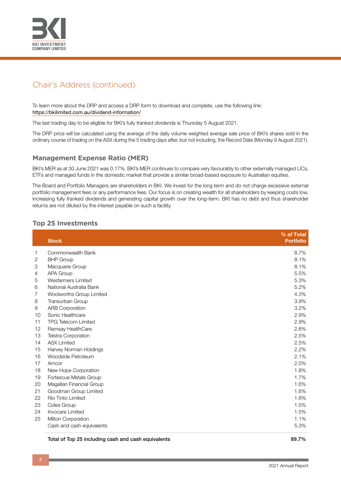

# Chair's Address (continued)

To learn more about the DRP and access a DRP form to download and complete, use the following link: <https://bkilimited.com.au/dividend-information/>

The last trading day to be eligible for BKI's fully franked dividends is Thursday 5 August 2021.

The DRP price will be calculated using the average of the daily volume weighted average sale price of BKI's shares sold in the ordinary course of trading on the ASX during the 5 trading days after, but not including, the Record Date (Monday 9 August 2021).

#### **Management Expense Ratio (MER)**

BKI's MER as at 30 June 2021 was 0.17%. BKI's MER continues to compare very favourably to other externally managed LICs, ETFs and managed funds in the domestic market that provide a similar broad-based exposure to Australian equities.

The Board and Portfolio Managers are shareholders in BKI. We invest for the long term and do not charge excessive external portfolio management fees or any performance fees. Our focus is on creating wealth for all shareholders by keeping costs low, increasing fully franked dividends and generating capital growth over the long-term. BKI has no debt and thus shareholder returns are not diluted by the interest payable on such a facility.

#### **Top 25 Investments**

|    | <b>Stock</b>               | % of Total<br><b>Portfolio</b> |
|----|----------------------------|--------------------------------|
| 1  | Commonwealth Bank          | 8.7%                           |
| 2  | <b>BHP Group</b>           | 8.1%                           |
| З  | Macquarie Group            | 8.1%                           |
| 4  | <b>APA Group</b>           | 5.5%                           |
| 5  | <b>Wesfarmers Limited</b>  | 5.3%                           |
| 6  | National Australia Bank    | 5.2%                           |
| 7  | Woolworths Group Limited   | 4.3%                           |
| 8  | Transurban Group           | 3.9%                           |
| 9  | <b>ARB Corporation</b>     | 3.2%                           |
| 10 | Sonic Healthcare           | 2.9%                           |
| 11 | <b>TPG Telecom Limited</b> | 2.9%                           |
| 12 | Ramsay HealthCare          | 2.6%                           |
| 13 | Telstra Corporation        | 2.5%                           |
| 14 | <b>ASX Limited</b>         | 2.5%                           |
| 15 | Harvey Norman Holdings     | 2.2%                           |
| 16 | Woodside Petroleum         | 2.1%                           |
| 17 | Amcor                      | 2.0%                           |
| 18 | New Hope Corporation       | 1.8%                           |
| 19 | Fortescue Metals Group     | 1.7%                           |
| 20 | Magellan Financial Group   | 1.6%                           |
| 21 | Goodman Group Limited      | 1.6%                           |
| 22 | Rio Tinto Limited          | 1.6%                           |
| 23 | Coles Group                | 1.5%                           |
| 24 | Invocare Limited           | 1.5%                           |
| 25 | Milton Corporation         | 1.1%                           |
|    | Cash and cash equivalents  | 5.3%                           |

Total of Top 25 including cash and cash equivalents 89.7%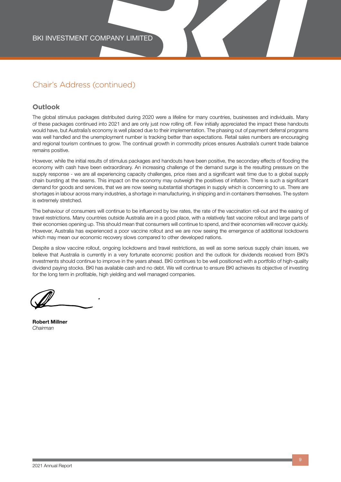# Chair's Address (continued)

#### **Outlook**

The global stimulus packages distributed during 2020 were a lifeline for many countries, businesses and individuals. Many of these packages continued into 2021 and are only just now rolling off. Few initially appreciated the impact these handouts would have, but Australia's economy is well placed due to their implementation. The phasing out of payment deferral programs was well handled and the unemployment number is tracking better than expectations. Retail sales numbers are encouraging and regional tourism continues to grow. The continual growth in commodity prices ensures Australia's current trade balance remains positive.

However, while the initial results of stimulus packages and handouts have been positive, the secondary effects of flooding the economy with cash have been extraordinary. An increasing challenge of the demand surge is the resulting pressure on the supply response - we are all experiencing capacity challenges, price rises and a significant wait time due to a global supply chain bursting at the seams. This impact on the economy may outweigh the positives of inflation. There is such a significant demand for goods and services, that we are now seeing substantial shortages in supply which is concerning to us. There are shortages in labour across many industries, a shortage in manufacturing, in shipping and in containers themselves. The system is extremely stretched.

The behaviour of consumers will continue to be influenced by low rates, the rate of the vaccination roll-out and the easing of travel restrictions. Many countries outside Australia are in a good place, with a relatively fast vaccine rollout and large parts of their economies opening up. This should mean that consumers will continue to spend, and their economies will recover quickly. However, Australia has experienced a poor vaccine rollout and we are now seeing the emergence of additional lockdowns which may mean our economic recovery slows compared to other developed nations.

Despite a slow vaccine rollout, ongoing lockdowns and travel restrictions, as well as some serious supply chain issues, we believe that Australia is currently in a very fortunate economic position and the outlook for dividends received from BKI's investments should continue to improve in the years ahead. BKI continues to be well positioned with a portfolio of high-quality dividend paying stocks. BKI has available cash and no debt. We will continue to ensure BKI achieves its objective of investing for the long term in profitable, high yielding and well managed companies.

Robert Millner Chairman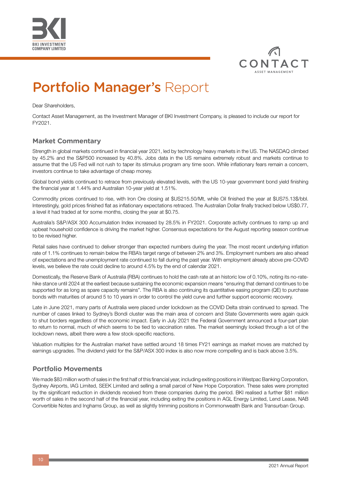<span id="page-11-0"></span>



# Portfolio Manager's Report

Dear Shareholders,

Contact Asset Management, as the Investment Manager of BKI Investment Company, is pleased to include our report for FY2021.

#### **Market Commentary**

Strength in global markets continued in financial year 2021, led by technology heavy markets in the US. The NASDAQ climbed by 45.2% and the S&P500 increased by 40.8%. Jobs data in the US remains extremely robust and markets continue to assume that the US Fed will not rush to taper its stimulus program any time soon. While inflationary fears remain a concern, investors continue to take advantage of cheap money.

Global bond yields continued to retrace from previously elevated levels, with the US 10-year government bond yield finishing the financial year at 1.44% and Australian 10-year yield at 1.51%.

Commodity prices continued to rise, with Iron Ore closing at \$US215.50/Mt, while Oil finished the year at \$US75.13\$/bbl. Interestingly, gold prices finished flat as inflationary expectations retraced. The Australian Dollar finally tracked below US\$0.77, a level it had traded at for some months, closing the year at \$0.75.

Australia's S&P/ASX 300 Accumulation Index increased by 28.5% in FY2021. Corporate activity continues to ramp up and upbeat household confidence is driving the market higher. Consensus expectations for the August reporting season continue to be revised higher.

Retail sales have continued to deliver stronger than expected numbers during the year. The most recent underlying inflation rate of 1.1% continues to remain below the RBA's target range of between 2% and 3%. Employment numbers are also ahead of expectations and the unemployment rate continued to fall during the past year. With employment already above pre-COVID levels, we believe the rate could decline to around 4.5% by the end of calendar 2021.

Domestically, the Reserve Bank of Australia (RBA) continues to hold the cash rate at an historic low of 0.10%, noting its no-ratehike stance until 2024 at the earliest because sustaining the economic expansion means "ensuring that demand continues to be supported for as long as spare capacity remains". The RBA is also continuing its quantitative easing program (QE) to purchase bonds with maturities of around 5 to 10 years in order to control the yield curve and further support economic recovery.

Late in June 2021, many parts of Australia were placed under lockdown as the COVID Delta strain continued to spread. The number of cases linked to Sydney's Bondi cluster was the main area of concern and State Governments were again quick to shut borders regardless of the economic impact. Early in July 2021 the Federal Government announced a four-part plan to return to normal, much of which seems to be tied to vaccination rates. The market seemingly looked through a lot of the lockdown news, albeit there were a few stock-specific reactions.

Valuation multiples for the Australian market have settled around 18 times FY21 earnings as market moves are matched by earnings upgrades. The dividend yield for the S&P/ASX 300 index is also now more compelling and is back above 3.5%.

#### **Portfolio Movements**

We made \$83 million worth of sales in the first half of this financial year, including exiting positions in Westpac Banking Corporation, Sydney Airports, IAG Limited, SEEK Limited and selling a small parcel of New Hope Corporation. These sales were prompted by the significant reduction in dividends received from these companies during the period. BKI realised a further \$81 million worth of sales in the second half of the financial year, including exiting the positions in AGL Energy Limited, Lend Lease, NAB Convertible Notes and Inghams Group, as well as slightly trimming positions in Commonwealth Bank and Transurban Group.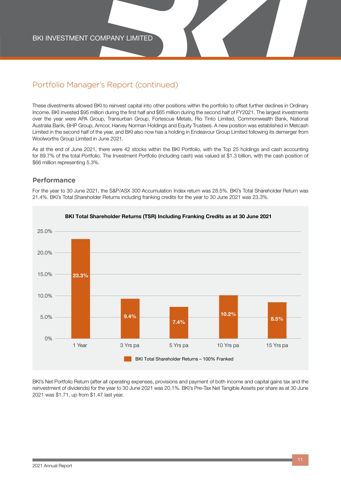# Portfolio Manager's Report (continued)

These divestments allowed BKI to reinvest capital into other positions within the portfolio to offset further declines in Ordinary Income. BKI invested \$95 million during the first half and \$65 million during the second half of FY2021. The largest investments over the year were APA Group, Transurban Group, Fortescue Metals, Rio Tinto Limited, Commonwealth Bank, National Australia Bank, BHP Group, Amcor, Harvey Norman Holdings and Equity Trustees. A new position was established in Metcash Limited in the second half of the year, and BKI also now has a holding in Endeavour Group Limited following its demerger from Woolworths Group Limited in June 2021.

As at the end of June 2021, there were 42 stocks within the BKI Portfolio, with the Top 25 holdings and cash accounting for 89.7% of the total Portfolio. The Investment Portfolio (including cash) was valued at \$1.3 billion, with the cash position of \$66 million representing 5.3%.

#### **Performance**

For the year to 30 June 2021, the S&P/ASX 300 Accumulation Index return was 28.5%. BKI's Total Shareholder Return was 21.4%. BKI's Total Shareholder Returns including franking credits for the year to 30 June 2021 was 23.3%.



#### BKI Total Shareholder Returns (TSR) Including Franking Credits as at 30 June 2021

BKI's Net Portfolio Return (after all operating expenses, provisions and payment of both income and capital gains tax and the reinvestment of dividends) for the year to 30 June 2021 was 20.1%. BKI's Pre-Tax Net Tangible Assets per share as at 30 June 2021 was \$1.71, up from \$1.47 last year.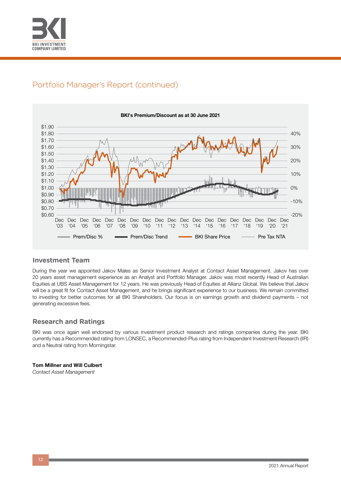

# Portfolio Manager's Report (continued)



#### **Investment Team**

During the year we appointed Jakov Males as Senior Investment Analyst at Contact Asset Management. Jakov has over 20 years asset management experience as an Analyst and Portfolio Manager. Jakov was most recently Head of Australian Equities at UBS Asset Management for 12 years. He was previously Head of Equities at Allianz Global. We believe that Jakov will be a great fit for Contact Asset Management, and he brings significant experience to our business. We remain committed to investing for better outcomes for all BKI Shareholders. Our focus is on earnings growth and dividend payments – not generating excessive fees.

#### **Research and Ratings**

BKI was once again well endorsed by various investment product research and ratings companies during the year. BKI currently has a Recommended rating from LONSEC, a Recommended-Plus rating from Independent Investment Research (IIR) and a Neutral rating from Morningstar.

#### Tom Millner and Will Culbert

Contact Asset Management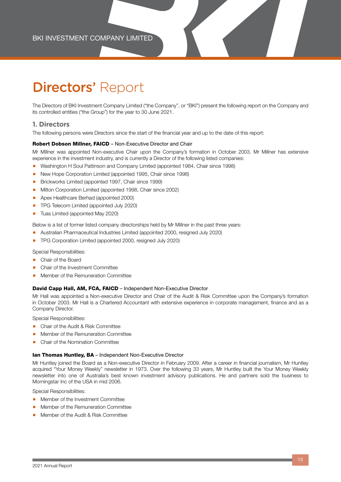# <span id="page-14-0"></span>Directors' Report

The Directors of BKI Investment Company Limited ("the Company", or "BKI") present the following report on the Company and its controlled entities ("the Group") for the year to 30 June 2021.

#### **1. Directors**

The following persons were Directors since the start of the financial year and up to the date of this report:

#### Robert Dobson Millner, FAICD – Non-Executive Director and Chair

Mr Millner was appointed Non-executive Chair upon the Company's formation in October 2003. Mr Millner has extensive experience in the investment industry, and is currently a Director of the following listed companies:

- **•** Washington H Soul Pattinson and Company Limited (appointed 1984, Chair since 1998)
- **P** New Hope Corporation Limited (appointed 1995, Chair since 1998)
- **Brickworks Limited (appointed 1997, Chair since 1999)**
- **Nilton Corporation Limited (appointed 1998, Chair since 2002)**
- **P** Apex Healthcare Berhad (appointed 2000)
- **P** TPG Telecom Limited (appointed July 2020)
- **T** Tuas Limited (appointed May 2020)

Below is a list of former listed company directorships held by Mr Millner in the past three years:

- **•** Australian Pharmaceutical Industries Limited (appointed 2000, resigned July 2020)
- **P** TPG Corporation Limited (appointed 2000, resigned July 2020)

Special Responsibilities:

- **Chair of the Board**
- p Chair of the Investment Committee
- p Member of the Remuneration Committee

#### David Capp Hall, AM, FCA, FAICD – Independent Non-Executive Director

Mr Hall was appointed a Non-executive Director and Chair of the Audit & Risk Committee upon the Company's formation in October 2003. Mr Hall is a Chartered Accountant with extensive experience in corporate management, finance and as a Company Director.

Special Responsibilities:

- **Chair of the Audit & Risk Committee**
- p Member of the Remuneration Committee
- p Chair of the Nomination Committee

#### **Ian Thomas Huntley, BA** – Independent Non-Executive Director

Mr Huntley joined the Board as a Non-executive Director in February 2009. After a career in financial journalism, Mr Huntley acquired "Your Money Weekly" newsletter in 1973. Over the following 33 years, Mr Huntley built the Your Money Weekly newsletter into one of Australia's best known investment advisory publications. He and partners sold the business to Morningstar Inc of the USA in mid 2006.

Special Responsibilities:

- p Member of the Investment Committee
- **P** Member of the Remuneration Committee
- p Member of the Audit & Risk Committee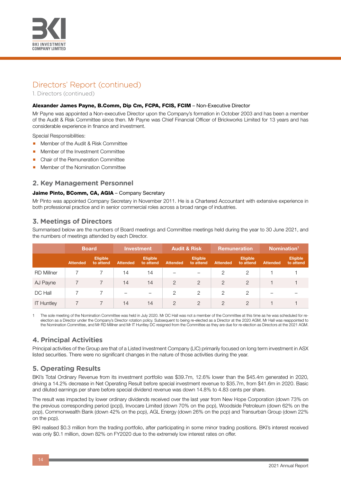

1. Directors (continued)

#### Alexander James Payne, B.Comm, Dip Cm, FCPA, FCIS, FCIM – Non-Executive Director

Mr Payne was appointed a Non-executive Director upon the Company's formation in October 2003 and has been a member of the Audit & Risk Committee since then. Mr Payne was Chief Financial Officer of Brickworks Limited for 13 years and has considerable experience in finance and investment.

Special Responsibilities:

- p Member of the Audit & Risk Committee
- Member of the Investment Committee
- p Chair of the Remuneration Committee
- p Member of the Nomination Committee

#### **2. Key Management Personnel**

#### Jaime Pinto, BComm, CA, AGIA - Company Secretary

Mr Pinto was appointed Company Secretary in November 2011. He is a Chartered Accountant with extensive experience in both professional practice and in senior commercial roles across a broad range of industries.

#### **3. Meetings of Directors**

Summarised below are the numbers of Board meetings and Committee meetings held during the year to 30 June 2021, and the numbers of meetings attended by each Director.

|                   | <b>Board</b>    |                              | <b>Investment</b>        |                              | <b>Audit &amp; Risk</b> |                              | <b>Remuneration</b> |                              | Nomination <sup>1</sup> |                              |
|-------------------|-----------------|------------------------------|--------------------------|------------------------------|-------------------------|------------------------------|---------------------|------------------------------|-------------------------|------------------------------|
|                   | <b>Attended</b> | <b>Eligible</b><br>to attend | <b>Attended</b>          | <b>Eligible</b><br>to attend | <b>Attended</b>         | <b>Eligible</b><br>to attend | <b>Attended</b>     | <b>Eligible</b><br>to attend | <b>Attended</b>         | <b>Eligible</b><br>to attend |
| <b>RD Millner</b> |                 |                              | 14                       | 14                           |                         |                              | $\overline{2}$      | 2                            |                         |                              |
| AJ Payne          |                 |                              | 14                       | 14                           | $\overline{2}$          | 2                            | $\overline{2}$      | $\mathcal{P}$                |                         |                              |
| DC Hall           |                 |                              | $\overline{\phantom{m}}$ | $\overline{\phantom{m}}$     | 2                       | 2                            | $\overline{2}$      | 2                            |                         |                              |
| <b>IT Huntley</b> |                 |                              | 14                       | 14                           | $\overline{2}$          | $\overline{2}$               | $\overline{2}$      | $\mathcal{P}$                |                         |                              |

1 The sole meeting of the Nomination Committee was held in July 2020. Mr DC Hall was not a member of the Committee at this time as he was scheduled for reelection as a Director under the Company's Director rotation policy. Subsequent to being re-elected as a Director at the 2020 AGM, Mr Hall was reappointed to the Nomination Committee, and Mr RD Millner and Mr IT Huntley DC resigned from the Committee as they are due for re-election as Directors at the 2021 AGM.

#### **4. Principal Activities**

Principal activities of the Group are that of a Listed Investment Company (LIC) primarily focused on long term investment in ASX listed securities. There were no significant changes in the nature of those activities during the year.

#### **5. Operating Results**

BKI's Total Ordinary Revenue from its investment portfolio was \$39.7m, 12.6% lower than the \$45.4m generated in 2020, driving a 14.2% decrease in Net Operating Result before special investment revenue to \$35.7m, from \$41.6m in 2020. Basic and diluted earnings per share before special dividend revenue was down 14.8% to 4.83 cents per share.

The result was impacted by lower ordinary dividends received over the last year from New Hope Corporation (down 73% on the previous corresponding period (pcp)), Invocare Limited (down 70% on the pcp), Woodside Petroleum (down 62% on the pcp), Commonwealth Bank (down 42% on the pcp), AGL Energy (down 26% on the pcp) and Transurban Group (down 22% on the pcp).

BKI realised \$0.3 million from the trading portfolio, after participating in some minor trading positions. BKI's interest received was only \$0.1 million, down 82% on FY2020 due to the extremely low interest rates on offer.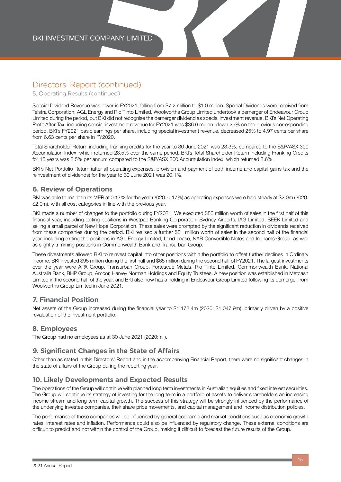5. Operating Results (continued)

Special Dividend Revenue was lower in FY2021, falling from \$7.2 million to \$1.0 million. Special Dividends were received from Telstra Corporation, AGL Energy and Rio Tinto Limited. Woolworths Group Limited undertook a demerger of Endeavour Group Limited during the period, but BKI did not recognise the demerger dividend as special investment revenue. BKI's Net Operating Profit After Tax, including special investment revenue for FY2021 was \$36.6 million, down 25% on the previous corresponding period. BKI's FY2021 basic earnings per share, including special investment revenue, decreased 25% to 4.97 cents per share from 6.63 cents per share in FY2020.

Total Shareholder Return including franking credits for the year to 30 June 2021 was 23.3%, compared to the S&P/ASX 300 Accumulation Index, which returned 28.5% over the same period. BKI's Total Shareholder Return including Franking Credits for 15 years was 8.5% per annum compared to the S&P/ASX 300 Accumulation Index, which returned 8.6%.

BKI's Net Portfolio Return (after all operating expenses, provision and payment of both income and capital gains tax and the reinvestment of dividends) for the year to 30 June 2021 was 20.1%.

#### **6. Review of Operations**

BKI was able to maintain its MER at 0.17% for the year (2020: 0.17%) as operating expenses were held steady at \$2.0m (2020: \$2.0m), with all cost categories in line with the previous year.

BKI made a number of changes to the portfolio during FY2021. We executed \$83 million worth of sales in the first half of this financial year, including exiting positions in Westpac Banking Corporation, Sydney Airports, IAG Limited, SEEK Limited and selling a small parcel of New Hope Corporation. These sales were prompted by the significant reduction in dividends received from these companies during the period. BKI realised a further \$81 million worth of sales in the second half of the financial year, including exiting the positions in AGL Energy Limited, Lend Lease, NAB Convertible Notes and Inghams Group, as well as slightly trimming positions in Commonwealth Bank and Transurban Group.

These divestments allowed BKI to reinvest capital into other positions within the portfolio to offset further declines in Ordinary Income. BKI invested \$95 million during the first half and \$65 million during the second half of FY2021. The largest investments over the year were APA Group, Transurban Group, Fortescue Metals, Rio Tinto Limited, Commonwealth Bank, National Australia Bank, BHP Group, Amcor, Harvey Norman Holdings and Equity Trustees. A new position was established in Metcash Limited in the second half of the year, and BKI also now has a holding in Endeavour Group Limited following its demerger from Woolworths Group Limited in June 2021.

#### **7. Financial Position**

Net assets of the Group increased during the financial year to \$1,172.4m (2020: \$1,047.9m), primarily driven by a positive revaluation of the investment portfolio.

#### **8. Employees**

The Group had no employees as at 30 June 2021 (2020: nil).

#### **9. Significant Changes in the State of Affairs**

Other than as stated in this Directors' Report and in the accompanying Financial Report, there were no significant changes in the state of affairs of the Group during the reporting year.

#### **10. Likely Developments and Expected Results**

The operations of the Group will continue with planned long term investments in Australian equities and fixed interest securities. The Group will continue its strategy of investing for the long term in a portfolio of assets to deliver shareholders an increasing income stream and long term capital growth. The success of this strategy will be strongly influenced by the performance of the underlying investee companies, their share price movements, and capital management and income distribution policies.

The performance of these companies will be influenced by general economic and market conditions such as economic growth rates, interest rates and inflation. Performance could also be influenced by regulatory change. These external conditions are difficult to predict and not within the control of the Group, making it difficult to forecast the future results of the Group.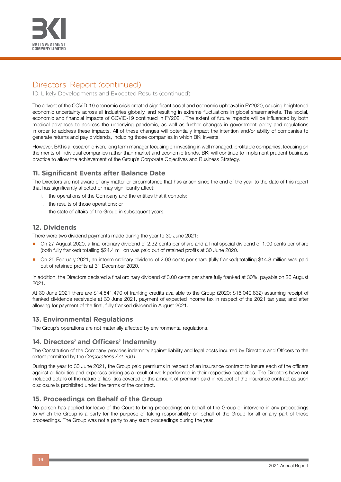

10. Likely Developments and Expected Results (continued)

The advent of the COVID-19 economic crisis created significant social and economic upheaval in FY2020, causing heightened economic uncertainty across all industries globally, and resulting in extreme fluctuations in global sharemarkets. The social, economic and financial impacts of COVID-19 continued in FY2021. The extent of future impacts will be influenced by both medical advances to address the underlying pandemic, as well as further changes in government policy and regulations in order to address these impacts. All of these changes will potentially impact the intention and/or ability of companies to generate returns and pay dividends, including those companies in which BKI invests.

However, BKI is a research driven, long term manager focusing on investing in well managed, profitable companies, focusing on the merits of individual companies rather than market and economic trends. BKI will continue to implement prudent business practice to allow the achievement of the Group's Corporate Objectives and Business Strategy.

#### **11. Significant Events after Balance Date**

The Directors are not aware of any matter or circumstance that has arisen since the end of the year to the date of this report that has significantly affected or may significantly affect:

- i. the operations of the Company and the entities that it controls;
- ii. the results of those operations; or
- iii. the state of affairs of the Group in subsequent years.

#### **12. Dividends**

There were two dividend payments made during the year to 30 June 2021:

- p On 27 August 2020, a final ordinary dividend of 2.32 cents per share and a final special dividend of 1.00 cents per share (both fully franked) totalling \$24.4 million was paid out of retained profits at 30 June 2020.
- On 25 February 2021, an interim ordinary dividend of 2.00 cents per share (fully franked) totalling \$14.8 million was paid out of retained profits at 31 December 2020.

In addition, the Directors declared a final ordinary dividend of 3.00 cents per share fully franked at 30%, payable on 26 August 2021.

At 30 June 2021 there are \$14,541,470 of franking credits available to the Group (2020: \$16,040,832) assuming receipt of franked dividends receivable at 30 June 2021, payment of expected income tax in respect of the 2021 tax year, and after allowing for payment of the final, fully franked dividend in August 2021.

#### **13. Environmental Regulations**

The Group's operations are not materially affected by environmental regulations.

#### **14. Directors' and Officers' Indemnity**

The Constitution of the Company provides indemnity against liability and legal costs incurred by Directors and Officers to the extent permitted by the Corporations Act 2001.

During the year to 30 June 2021, the Group paid premiums in respect of an insurance contract to insure each of the officers against all liabilities and expenses arising as a result of work performed in their respective capacities. The Directors have not included details of the nature of liabilities covered or the amount of premium paid in respect of the insurance contract as such disclosure is prohibited under the terms of the contract.

#### **15. Proceedings on Behalf of the Group**

No person has applied for leave of the Court to bring proceedings on behalf of the Group or intervene in any proceedings to which the Group is a party for the purpose of taking responsibility on behalf of the Group for all or any part of those proceedings. The Group was not a party to any such proceedings during the year.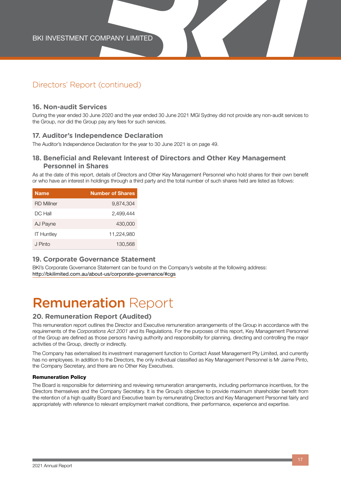#### **16. Non-audit Services**

During the year ended 30 June 2020 and the year ended 30 June 2021 MGI Sydney did not provide any non-audit services to the Group, nor did the Group pay any fees for such services.

#### **17. Auditor's Independence Declaration**

The Auditor's Independence Declaration for the year to 30 June 2021 is on page 49.

#### **18. Beneficial and Relevant Interest of Directors and Other Key Management Personnel in Shares**

As at the date of this report, details of Directors and Other Key Management Personnel who hold shares for their own benefit or who have an interest in holdings through a third party and the total number of such shares held are listed as follows:

| <b>Name</b>       | <b>Number of Shares</b> |
|-------------------|-------------------------|
| <b>RD</b> Millner | 9,874,304               |
| DC Hall           | 2.499.444               |
| AJ Payne          | 430,000                 |
| <b>IT Huntley</b> | 11.224.980              |
| J Pinto           | 130.568                 |

#### **19. Corporate Governance Statement**

BKI's Corporate Governance Statement can be found on the Company's website at the following address: <http://bkilimited.com.au/about-us/corporate-governance/#cgs>

# **Remuneration Report**

#### **20. Remuneration Report (Audited)**

This remuneration report outlines the Director and Executive remuneration arrangements of the Group in accordance with the requirements of the Corporations Act 2001 and its Requlations. For the purposes of this report, Key Management Personnel of the Group are defined as those persons having authority and responsibility for planning, directing and controlling the major activities of the Group, directly or indirectly.

The Company has externalised its investment management function to Contact Asset Management Pty Limited, and currently has no employees. In addition to the Directors, the only individual classified as Key Management Personnel is Mr Jaime Pinto, the Company Secretary, and there are no Other Key Executives.

#### Remuneration Policy

The Board is responsible for determining and reviewing remuneration arrangements, including performance incentives, for the Directors themselves and the Company Secretary. It is the Group's objective to provide maximum shareholder benefit from the retention of a high quality Board and Executive team by remunerating Directors and Key Management Personnel fairly and appropriately with reference to relevant employment market conditions, their performance, experience and expertise.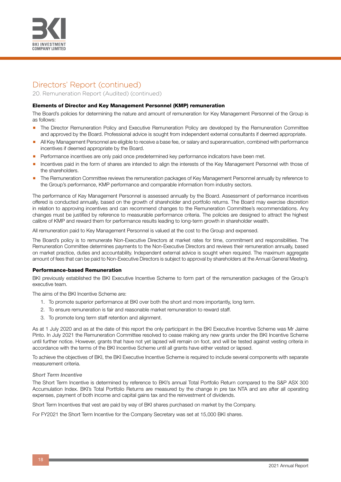

20. Remuneration Report (Audited) (continued)

#### Elements of Director and Key Management Personnel (KMP) remuneration

The Board's policies for determining the nature and amount of remuneration for Key Management Personnel of the Group is as follows:

- The Director Remuneration Policy and Executive Remuneration Policy are developed by the Remuneration Committee and approved by the Board. Professional advice is sought from independent external consultants if deemed appropriate.
- p All Key Management Personnel are eligible to receive a base fee, or salary and superannuation, combined with performance incentives if deemed appropriate by the Board.
- **Performance incentives are only paid once predetermined key performance indicators have been met.**
- **P** Incentives paid in the form of shares are intended to align the interests of the Key Management Personnel with those of the shareholders.
- **P** The Remuneration Committee reviews the remuneration packages of Key Management Personnel annually by reference to the Group's performance, KMP performance and comparable information from industry sectors.

The performance of Key Management Personnel is assessed annually by the Board. Assessment of performance incentives offered is conducted annually, based on the growth of shareholder and portfolio returns. The Board may exercise discretion in relation to approving incentives and can recommend changes to the Remuneration Committee's recommendations. Any changes must be justified by reference to measurable performance criteria. The policies are designed to attract the highest calibre of KMP and reward them for performance results leading to long-term growth in shareholder wealth.

All remuneration paid to Key Management Personnel is valued at the cost to the Group and expensed.

The Board's policy is to remunerate Non-Executive Directors at market rates for time, commitment and responsibilities. The Remuneration Committee determines payments to the Non-Executive Directors and reviews their remuneration annually, based on market practice, duties and accountability. Independent external advice is sought when required. The maximum aggregate amount of fees that can be paid to Non-Executive Directors is subject to approval by shareholders at the Annual General Meeting.

#### Performance-based Remuneration

BKI previously established the BKI Executive Incentive Scheme to form part of the remuneration packages of the Group's executive team.

The aims of the BKI Incentive Scheme are:

- 1. To promote superior performance at BKI over both the short and more importantly, long term.
- 2. To ensure remuneration is fair and reasonable market remuneration to reward staff.
- 3. To promote long term staff retention and alignment.

As at 1 July 2020 and as at the date of this report the only participant in the BKI Executive Incentive Scheme was Mr Jaime Pinto. In July 2021 the Remuneration Committee resolved to cease making any new grants under the BKI Incentive Scheme until further notice. However, grants that have not yet lapsed will remain on foot, and will be tested against vesting criteria in accordance with the terms of the BKI Incentive Scheme until all grants have either vested or lapsed.

To achieve the objectives of BKI, the BKI Executive Incentive Scheme is required to include several components with separate measurement criteria.

#### Short Term Incentive

The Short Term Incentive is determined by reference to BKI's annual Total Portfolio Return compared to the S&P ASX 300 Accumulation Index. BKI's Total Portfolio Returns are measured by the change in pre tax NTA and are after all operating expenses, payment of both income and capital gains tax and the reinvestment of dividends.

Short Term Incentives that vest are paid by way of BKI shares purchased on market by the Company.

For FY2021 the Short Term Incentive for the Company Secretary was set at 15,000 BKI shares.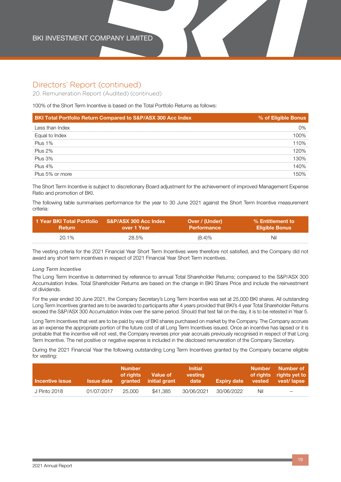20. Remuneration Report (Audited) (continued)

100% of the Short Term Incentive is based on the Total Portfolio Returns as follows:

| <b>BKI Total Portfolio Return Compared to S&amp;P/ASX 300 Acc Index</b> | % of Eligible Bonus |
|-------------------------------------------------------------------------|---------------------|
| Less than Index                                                         | 0%                  |
| Equal to Index                                                          | 100%                |
| Plus 1%                                                                 | 110%                |
| <b>Plus 2%</b>                                                          | 120%                |
| Plus 3%                                                                 | 130%                |
| Plus 4%                                                                 | 140%                |
| Plus 5% or more                                                         | 150%                |

The Short Term Incentive is subject to discretionary Board adjustment for the achievement of improved Management Expense Ratio and promotion of BKI.

The following table summarises performance for the year to 30 June 2021 against the Short Term Incentive measurement criteria:

| <b>Million Year BKI Total Portfolio</b> ا | S&P/ASX 300 Acc Index | Over / (Under) | $\%$ Entitlement to   |  |
|-------------------------------------------|-----------------------|----------------|-----------------------|--|
| <b>Return</b>                             | over 1 Year           | Performance    | <b>Eligible Bonus</b> |  |
| 20.1%                                     | 28.5%                 | (8.4)%         | Nil                   |  |

The vesting criteria for the 2021 Financial Year Short Term Incentives were therefore not satisfied, and the Company did not award any short term incentives in respect of 2021 Financial Year Short Term incentives.

#### Long Term Incentive

The Long Term Incentive is determined by reference to annual Total Shareholder Returns; compared to the S&P/ASX 300 Accumulation Index. Total Shareholder Returns are based on the change in BKI Share Price and include the reinvestment of dividends.

For the year ended 30 June 2021, the Company Secretary's Long Term Incentive was set at 25,000 BKI shares. All outstanding Long Term Incentives granted are to be awarded to participants after 4 years provided that BKI's 4 year Total Shareholder Returns exceed the S&P/ASX 300 Accumulation Index over the same period. Should that test fail on the day, it is to be retested in Year 5.

Long Term Incentives that vest are to be paid by way of BKI shares purchased on market by the Company. The Company accrues as an expense the appropriate portion of the future cost of all Long Term Incentives issued. Once an incentive has lapsed or it is probable that the incentive will not vest, the Company reverses prior year accruals previously recognised in respect of that Long Term Incentive. The net positive or negative expense is included in the disclosed remuneration of the Company Secretary.

During the 2021 Financial Year the following outstanding Long Term Incentives granted by the Company became eligible for vesting:

| l Incentive issue | <b>Issue date</b> | <b>Number</b><br>of rights | Value of<br>granted initial grant | <b>Initial</b><br>vesting<br>date | <b>Expiry date</b> |     | Number Number of<br>of rights rights yet to<br>vested vest/lapse |
|-------------------|-------------------|----------------------------|-----------------------------------|-----------------------------------|--------------------|-----|------------------------------------------------------------------|
| J Pinto 2018      | 01/07/2017        | 25,000                     | \$41.385                          | 30/06/2021                        | 30/06/2022         | Nil |                                                                  |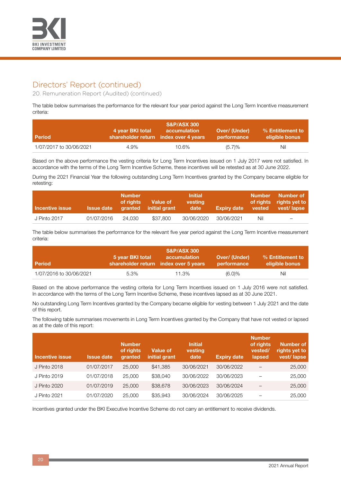

20. Remuneration Report (Audited) (continued)

The table below summarises the performance for the relevant four year period against the Long Term Incentive measurement criteria:

| Period                  | 4 year BKI total                      | <b>S&amp;P/ASX 300</b> | Over/(Under) | % Entitlement to |
|-------------------------|---------------------------------------|------------------------|--------------|------------------|
|                         | shareholder return index over 4 years | accumulation           | performance  | eligible bonus   |
| 1/07/2017 to 30/06/2021 | 4.9%                                  | 10.6%                  | (5.7)%       | Nil              |

Based on the above performance the vesting criteria for Long Term Incentives issued on 1 July 2017 were not satisfied. In accordance with the terms of the Long Term Incentive Scheme, these incentives will be retested as at 30 June 2022.

During the 2021 Financial Year the following outstanding Long Term Incentives granted by the Company became eligible for retesting:

| <b>Incentive issue</b> |            | <b>Number</b> | of rights Value of<br>Issue date granted initial grant | <b>Initial</b><br>vesting<br>date | <b>Expiry date</b> vested vest/lapse |     | Number Number of<br>of rights rights yet to |
|------------------------|------------|---------------|--------------------------------------------------------|-----------------------------------|--------------------------------------|-----|---------------------------------------------|
| J Pinto 2017           | 01/07/2016 | 24.030        | \$37,800                                               | 30/06/2020                        | 30/06/2021                           | Nil |                                             |

The table below summarises the performance for the relevant five year period against the Long Term Incentive measurement criteria:

|                         | 5 year BKI total | <b>S&amp;P/ASX 300</b><br>accumulation | Over/(Under) | % Entitlement to |
|-------------------------|------------------|----------------------------------------|--------------|------------------|
| Period                  |                  | shareholder return index over 5 years  | performance  | eligible bonus   |
| 1/07/2016 to 30/06/2021 | 5.3%             | 11.3%                                  | (6.0)%       | Nil              |

Based on the above performance the vesting criteria for Long Term Incentives issued on 1 July 2016 were not satisfied. In accordance with the terms of the Long Term Incentive Scheme, these incentives lapsed as at 30 June 2021.

No outstanding Long Term Incentives granted by the Company became eligible for vesting between 1 July 2021 and the date of this report.

The following table summarises movements in Long Term Incentives granted by the Company that have not vested or lapsed as at the date of this report:

| <b>Incentive issue</b> | <b>Issue date</b> | <b>Number</b><br>of rights<br>granted | <b>Value of</b><br>initial grant | <b>Initial</b><br>vesting<br>date | <b>Expiry date</b> | <b>Number</b><br>of rights<br>vested/<br>lapsed | <b>Number of</b><br>rights yet to<br>vest/lapse |
|------------------------|-------------------|---------------------------------------|----------------------------------|-----------------------------------|--------------------|-------------------------------------------------|-------------------------------------------------|
| J Pinto 2018           | 01/07/2017        | 25,000                                | \$41,385                         | 30/06/2021                        | 30/06/2022         |                                                 | 25,000                                          |
| J Pinto 2019           | 01/07/2018        | 25,000                                | \$38,040                         | 30/06/2022                        | 30/06/2023         |                                                 | 25,000                                          |
| J Pinto 2020           | 01/07/2019        | 25,000                                | \$38,678                         | 30/06/2023                        | 30/06/2024         |                                                 | 25,000                                          |
| J Pinto 2021           | 01/07/2020        | 25,000                                | \$35,943                         | 30/06/2024                        | 30/06/2025         |                                                 | 25,000                                          |

Incentives granted under the BKI Executive Incentive Scheme do not carry an entitlement to receive dividends.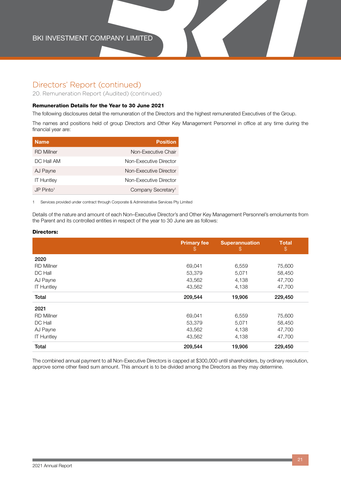#### BKI INVESTMENT COMPANY LIMITED

### Directors' Report (continued)

20. Remuneration Report (Audited) (continued)

#### Remuneration Details for the Year to 30 June 2021

The following disclosures detail the remuneration of the Directors and the highest remunerated Executives of the Group.

The names and positions held of group Directors and Other Key Management Personnel in office at any time during the financial year are:

| <b>Name</b>          | <b>Position</b>                |
|----------------------|--------------------------------|
| <b>RD</b> Millner    | Non-Executive Chair            |
| DC Hall AM           | Non-Executive Director         |
| AJ Payne             | Non-Executive Director         |
| <b>IT Huntley</b>    | Non-Executive Director         |
| IP Pint <sub>0</sub> | Company Secretary <sup>1</sup> |

1 Services provided under contract through Corporate & Administrative Services Pty Limited

Details of the nature and amount of each Non–Executive Director's and Other Key Management Personnel's emoluments from the Parent and its controlled entities in respect of the year to 30 June are as follows:

#### Directors:

|                   | <b>Primary fee</b><br>$\mathcal{L}$ | <b>Superannuation</b><br>$\$\$ | <b>Total</b><br>$\frac{1}{2}$ |
|-------------------|-------------------------------------|--------------------------------|-------------------------------|
| 2020              |                                     |                                |                               |
| <b>RD Millner</b> | 69,041                              | 6,559                          | 75,600                        |
| <b>DC Hall</b>    | 53,379                              | 5,071                          | 58,450                        |
| AJ Payne          | 43,562                              | 4,138                          | 47,700                        |
| <b>IT Huntley</b> | 43,562                              | 4,138                          | 47,700                        |
| Total             | 209,544                             | 19,906                         | 229,450                       |
| 2021              |                                     |                                |                               |
| <b>RD Millner</b> | 69,041                              | 6,559                          | 75,600                        |
| DC Hall           | 53,379                              | 5,071                          | 58,450                        |
| AJ Payne          | 43,562                              | 4,138                          | 47,700                        |
| <b>IT Huntley</b> | 43,562                              | 4,138                          | 47,700                        |
| Total             | 209,544                             | 19,906                         | 229,450                       |

The combined annual payment to all Non-Executive Directors is capped at \$300,000 until shareholders, by ordinary resolution, approve some other fixed sum amount. This amount is to be divided among the Directors as they may determine.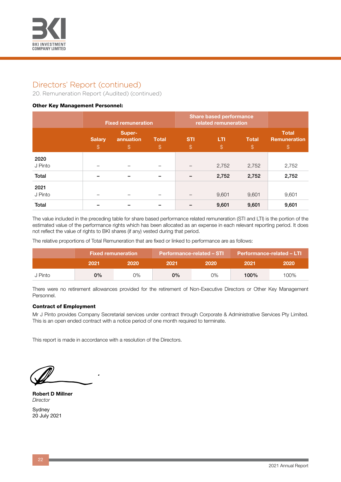

20. Remuneration Report (Audited) (continued)

#### Other Key Management Personnel:

|                 | <b>Fixed remuneration</b>       |                              |                               | <b>Share based performance</b><br>related remuneration |                      |                               |                                               |
|-----------------|---------------------------------|------------------------------|-------------------------------|--------------------------------------------------------|----------------------|-------------------------------|-----------------------------------------------|
|                 | <b>Salary</b><br>$\mathfrak{S}$ | Super-<br>annuation<br>$\$\$ | <b>Total</b><br>$\frac{1}{2}$ | <b>STI</b><br>$\overline{\mathcal{S}}$                 | LTI<br>$\mathcal{S}$ | <b>Total</b><br>$\frac{1}{2}$ | Total<br><b>Remuneration</b><br>$\mathcal{S}$ |
| 2020<br>J Pinto |                                 |                              |                               |                                                        | 2,752                | 2,752                         | 2,752                                         |
| Total           |                                 |                              |                               |                                                        | 2,752                | 2,752                         | 2,752                                         |
| 2021<br>J Pinto |                                 |                              |                               |                                                        | 9,601                | 9,601                         | 9,601                                         |
| Total           |                                 |                              |                               |                                                        | 9,601                | 9,601                         | 9,601                                         |

The value included in the preceding table for share based performance related remuneration (STI and LTI) is the portion of the estimated value of the performance rights which has been allocated as an expense in each relevant reporting period. It does not reflect the value of rights to BKI shares (if any) vested during that period.

The relative proportions of Total Remuneration that are fixed or linked to performance are as follows:

|         | <b>Fixed remuneration</b> |      |      | ∣ Performance-related – STI <sup>1</sup> | <b>Performance-related - LTI</b> |      |  |
|---------|---------------------------|------|------|------------------------------------------|----------------------------------|------|--|
|         | 2021                      | 2020 | 2021 | 2020                                     | 2021                             | 2020 |  |
| J Pinto | $0\%$                     | 0%   | 0%   | 0%                                       | $100\%$                          | 100% |  |

There were no retirement allowances provided for the retirement of Non-Executive Directors or Other Key Management Personnel.

#### Contract of Employment

Mr J Pinto provides Company Secretarial services under contract through Corporate & Administrative Services Pty Limited. This is an open ended contract with a notice period of one month required to terminate.

This report is made in accordance with a resolution of the Directors.

Robert D Millner **Director** 

Sydney 20 July 2021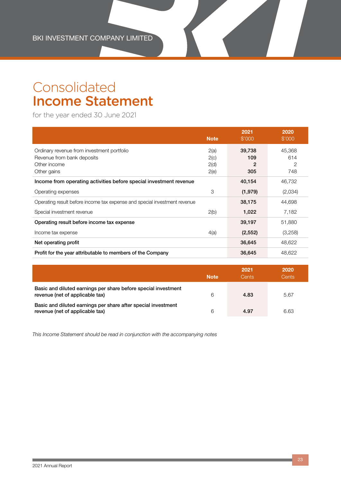# <span id="page-24-0"></span>Consolidated Income Statement

for the year ended 30 June 2021

|                                                                           | <b>Note</b> | 2021<br>\$'000 | 2020<br>\$'000 |
|---------------------------------------------------------------------------|-------------|----------------|----------------|
| Ordinary revenue from investment portfolio                                | 2(a)        | 39,738         | 45,368         |
| Revenue from bank deposits                                                | 2(c)        | 109            | 614            |
| Other income                                                              | 2(d)        | 2              | 2              |
| Other gains                                                               | 2(e)        | 305            | 748            |
| Income from operating activities before special investment revenue        |             | 40,154         | 46,732         |
| Operating expenses                                                        | 3           | (1,979)        | (2,034)        |
| Operating result before income tax expense and special investment revenue |             | 38,175         | 44,698         |
| Special investment revenue                                                | 2(b)        | 1,022          | 7,182          |
| Operating result before income tax expense                                |             | 39,197         | 51,880         |
| Income tax expense                                                        | 4(a)        | (2, 552)       | (3,258)        |
| Net operating profit                                                      |             | 36,645         | 48,622         |
| Profit for the year attributable to members of the Company                |             | 36,645         | 48,622         |

|                                                                                                   | <b>Note</b> | 2021<br>Cents | 2020<br>Cents |
|---------------------------------------------------------------------------------------------------|-------------|---------------|---------------|
| Basic and diluted earnings per share before special investment<br>revenue (net of applicable tax) | 6           | 4.83          | 5.67          |
| Basic and diluted earnings per share after special investment<br>revenue (net of applicable tax)  | 6           | 4.97          | 6.63          |

This Income Statement should be read in conjunction with the accompanying notes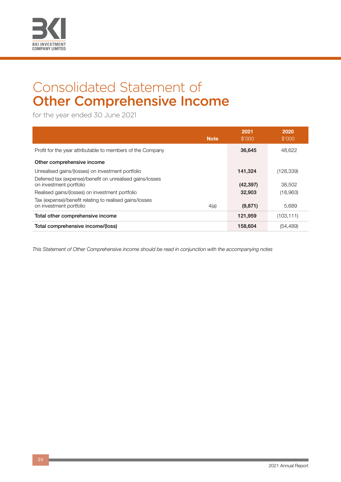<span id="page-25-0"></span>

# Consolidated Statement of Other Comprehensive Income

for the year ended 30 June 2021

|                                                                                      | <b>Note</b> | 2021<br>\$'000 | 2020<br>\$'000 |
|--------------------------------------------------------------------------------------|-------------|----------------|----------------|
| Profit for the year attributable to members of the Company                           |             | 36,645         | 48.622         |
| Other comprehensive income                                                           |             |                |                |
| Unrealised gains/(losses) on investment portfolio                                    |             | 141,324        | (128,339)      |
| Deferred tax (expense)/benefit on unrealised gains/losses<br>on investment portfolio |             | (42, 397)      | 38,502         |
| Realised gains/(losses) on investment portfolio                                      |             | 32,903         | (18,963)       |
| Tax (expense)/benefit relating to realised gains/losses<br>on investment portfolio   | 4(a)        | (9,871)        | 5,689          |
| Total other comprehensive income                                                     |             | 121,959        | (103, 111)     |
| Total comprehensive income/(loss)                                                    |             | 158,604        | (54, 489)      |

This Statement of Other Comprehensive income should be read in conjunction with the accompanying notes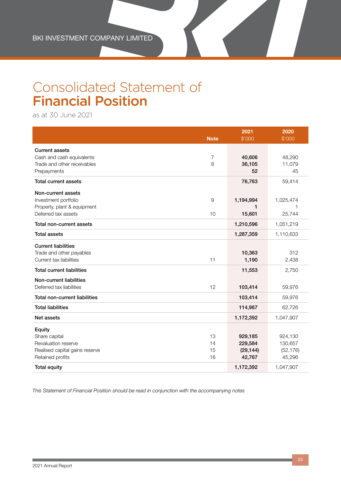# <span id="page-26-0"></span>Consolidated Statement of Financial Position

as at 30 June 2021

|                                      | <b>Note</b>    | 2021<br>\$'000 | 2020<br>\$'000 |
|--------------------------------------|----------------|----------------|----------------|
| <b>Current assets</b>                |                |                |                |
| Cash and cash equivalents            | $\overline{7}$ | 40,606         | 48,290         |
| Trade and other receivables          | 8              | 36,105         | 11,079         |
| Prepayments                          |                | 52             | 45             |
| <b>Total current assets</b>          |                | 76,763         | 59,414         |
| Non-current assets                   |                |                |                |
| Investment portfolio                 | 9              | 1,194,994      | 1,025,474      |
| Property, plant & equipment          |                | 1              | $\mathbf{1}$   |
| Deferred tax assets                  | 10             | 15,601         | 25,744         |
| Total non-current assets             |                | 1,210,596      | 1,051,219      |
| <b>Total assets</b>                  |                | 1,287,359      | 1,110,633      |
| <b>Current liabilities</b>           |                |                |                |
| Trade and other payables             |                | 10,363         | 312            |
| Current tax liabilities              | 11             | 1,190          | 2,438          |
| <b>Total current liabilities</b>     |                | 11,553         | 2,750          |
| Non-current liabilities              |                |                |                |
| Deferred tax liabilities             | 12             | 103,414        | 59,976         |
| <b>Total non-current liabilities</b> |                | 103,414        | 59,976         |
| <b>Total liabilities</b>             |                | 114,967        | 62,726         |
| Net assets                           |                | 1,172,392      | 1,047,907      |
| Equity                               |                |                |                |
| Share capital                        | 13             | 929,185        | 924,130        |
| Revaluation reserve                  | 14             | 229,584        | 130,657        |
| Realised capital gains reserve       | 15             | (29, 144)      | (52, 176)      |
| Retained profits                     | 16             | 42,767         | 45,296         |
| <b>Total equity</b>                  |                | 1,172,392      | 1,047,907      |

This Statement of Financial Position should be read in conjunction with the accompanying notes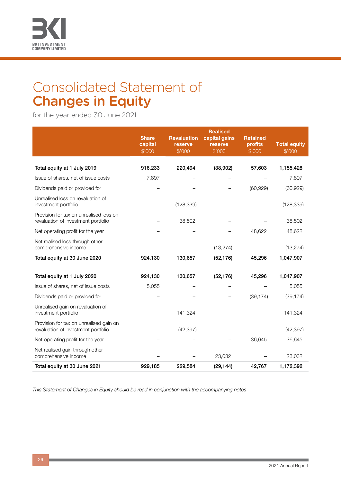<span id="page-27-0"></span>

# Consolidated Statement of Changes in Equity

for the year ended 30 June 2021

|                                                                                | <b>Share</b><br>capital<br>\$'000 | <b>Revaluation</b><br>reserve<br>\$'000 | <b>Realised</b><br>capital gains<br>reserve<br>\$'000 | <b>Retained</b><br>profits<br>\$'000 | <b>Total equity</b><br>\$'000 |
|--------------------------------------------------------------------------------|-----------------------------------|-----------------------------------------|-------------------------------------------------------|--------------------------------------|-------------------------------|
| Total equity at 1 July 2019                                                    | 916,233                           | 220,494                                 | (38,902)                                              | 57,603                               | 1,155,428                     |
| Issue of shares, net of issue costs                                            | 7,897                             |                                         |                                                       |                                      | 7,897                         |
| Dividends paid or provided for                                                 |                                   |                                         |                                                       | (60, 929)                            | (60, 929)                     |
| Unrealised loss on revaluation of<br>investment portfolio                      |                                   | (128, 339)                              |                                                       |                                      | (128, 339)                    |
| Provision for tax on unrealised loss on<br>revaluation of investment portfolio |                                   | 38,502                                  |                                                       |                                      | 38,502                        |
| Net operating profit for the year                                              |                                   |                                         |                                                       | 48,622                               | 48,622                        |
| Net realised loss through other<br>comprehensive income                        |                                   |                                         | (13, 274)                                             |                                      | (13, 274)                     |
| Total equity at 30 June 2020                                                   | 924,130                           | 130,657                                 | (52, 176)                                             | 45,296                               | 1,047,907                     |
|                                                                                |                                   |                                         |                                                       |                                      |                               |
| Total equity at 1 July 2020                                                    | 924,130                           | 130,657                                 | (52, 176)                                             | 45,296                               | 1,047,907                     |
| Issue of shares, net of issue costs                                            | 5,055                             |                                         |                                                       |                                      | 5,055                         |
| Dividends paid or provided for                                                 |                                   |                                         |                                                       | (39, 174)                            | (39, 174)                     |
| Unrealised gain on revaluation of<br>investment portfolio                      |                                   | 141,324                                 |                                                       |                                      | 141,324                       |
| Provision for tax on unrealised gain on<br>revaluation of investment portfolio |                                   | (42, 397)                               |                                                       |                                      | (42, 397)                     |
| Net operating profit for the year                                              |                                   |                                         |                                                       | 36,645                               | 36,645                        |
| Net realised gain through other<br>comprehensive income                        |                                   |                                         | 23,032                                                |                                      | 23,032                        |
| Total equity at 30 June 2021                                                   | 929,185                           | 229,584                                 | (29, 144)                                             | 42,767                               | 1,172,392                     |

This Statement of Changes in Equity should be read in conjunction with the accompanying notes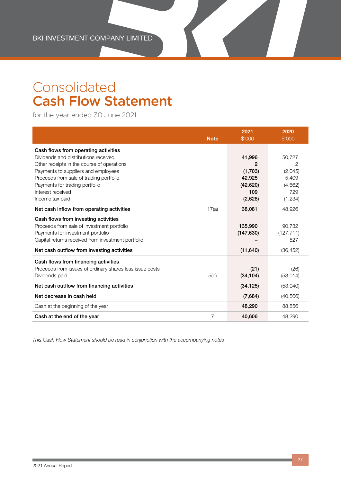# <span id="page-28-0"></span>Consolidated Cash Flow Statement

for the year ended 30 June 2021

|                                                                                                                                                                                                                                                                                        | <b>Note</b>    | 2021<br>\$'000                                                  | 2020<br>\$7000                                               |
|----------------------------------------------------------------------------------------------------------------------------------------------------------------------------------------------------------------------------------------------------------------------------------------|----------------|-----------------------------------------------------------------|--------------------------------------------------------------|
| Cash flows from operating activities<br>Dividends and distributions received<br>Other receipts in the course of operations<br>Payments to suppliers and employees<br>Proceeds from sale of trading portfolio<br>Payments for trading portfolio<br>Interest received<br>Income tax paid |                | 41,996<br>2<br>(1,703)<br>42,925<br>(42, 620)<br>109<br>(2,628) | 50,727<br>2<br>(2,045)<br>5,409<br>(4,662)<br>729<br>(1,234) |
| Net cash inflow from operating activities                                                                                                                                                                                                                                              | 17(a)          | 38,081                                                          | 48,926                                                       |
| Cash flows from investing activities<br>Proceeds from sale of investment portfolio<br>Payments for investment portfolio<br>Capital returns received from investment portfolio                                                                                                          |                | 135,990<br>(147, 630)                                           | 90,732<br>(127, 711)<br>527                                  |
| Net cash outflow from investing activities                                                                                                                                                                                                                                             |                | (11, 640)                                                       | (36, 452)                                                    |
| Cash flows from financing activities<br>Proceeds from issues of ordinary shares less issue costs<br>Dividends paid                                                                                                                                                                     | 5(b)           | (21)<br>(34, 104)                                               | (26)<br>(53,014)                                             |
| Net cash outflow from financing activities                                                                                                                                                                                                                                             |                | (34, 125)                                                       | (53,040)                                                     |
| Net decrease in cash held                                                                                                                                                                                                                                                              |                | (7,684)                                                         | (40, 566)                                                    |
| Cash at the beginning of the year                                                                                                                                                                                                                                                      |                | 48,290                                                          | 88,856                                                       |
| Cash at the end of the year                                                                                                                                                                                                                                                            | $\overline{7}$ | 40,606                                                          | 48,290                                                       |

This Cash Flow Statement should be read in conjunction with the accompanying notes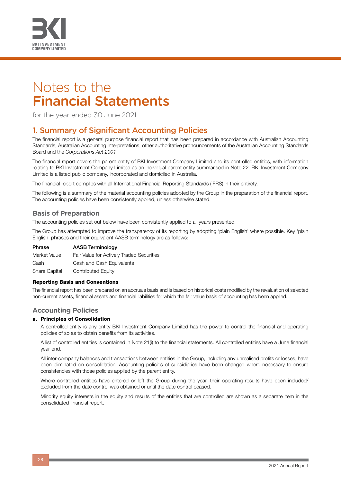<span id="page-29-0"></span>

# Notes to the Financial Statements

for the year ended 30 June 2021

# 1. Summary of Significant Accounting Policies

The financial report is a general purpose financial report that has been prepared in accordance with Australian Accounting Standards, Australian Accounting Interpretations, other authoritative pronouncements of the Australian Accounting Standards Board and the Corporations Act 2001.

The financial report covers the parent entity of BKI Investment Company Limited and its controlled entities, with information relating to BKI Investment Company Limited as an individual parent entity summarised in Note 22. BKI Investment Company Limited is a listed public company, incorporated and domiciled in Australia.

The financial report complies with all International Financial Reporting Standards (IFRS) in their entirety.

The following is a summary of the material accounting policies adopted by the Group in the preparation of the financial report. The accounting policies have been consistently applied, unless otherwise stated.

#### **Basis of Preparation**

The accounting policies set out below have been consistently applied to all years presented.

The Group has attempted to improve the transparency of its reporting by adopting 'plain English' where possible. Key 'plain English' phrases and their equivalent AASB terminology are as follows:

#### Phrase AASB Terminology

Market Value Fair Value for Actively Traded Securities Cash Cash and Cash Equivalents Share Capital Contributed Equity

#### Reporting Basis and Conventions

The financial report has been prepared on an accruals basis and is based on historical costs modified by the revaluation of selected non-current assets, financial assets and financial liabilities for which the fair value basis of accounting has been applied.

#### **Accounting Policies**

#### a. Principles of Consolidation

A controlled entity is any entity BKI Investment Company Limited has the power to control the financial and operating policies of so as to obtain benefits from its activities.

A list of controlled entities is contained in Note 21(i) to the financial statements. All controlled entities have a June financial year-end.

All inter-company balances and transactions between entities in the Group, including any unrealised profits or losses, have been eliminated on consolidation. Accounting policies of subsidiaries have been changed where necessary to ensure consistencies with those policies applied by the parent entity.

Where controlled entities have entered or left the Group during the year, their operating results have been included/ excluded from the date control was obtained or until the date control ceased.

Minority equity interests in the equity and results of the entities that are controlled are shown as a separate item in the consolidated financial report.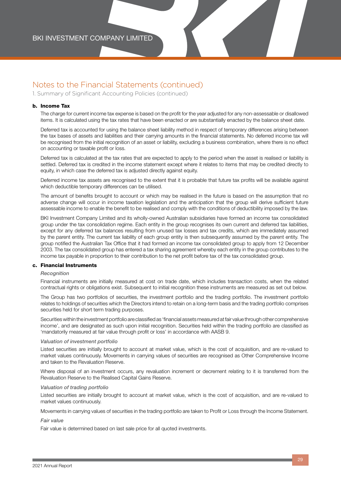#### BKI INVESTMENT COMPANY LIMITED

# Notes to the Financial Statements (continued)

1. Summary of Significant Accounting Policies (continued)

#### b. Income Tax

The charge for current income tax expense is based on the profit for the year adjusted for any non-assessable or disallowed items. It is calculated using the tax rates that have been enacted or are substantially enacted by the balance sheet date.

Deferred tax is accounted for using the balance sheet liability method in respect of temporary differences arising between the tax bases of assets and liabilities and their carrying amounts in the financial statements. No deferred income tax will be recognised from the initial recognition of an asset or liability, excluding a business combination, where there is no effect on accounting or taxable profit or loss.

Deferred tax is calculated at the tax rates that are expected to apply to the period when the asset is realised or liability is settled. Deferred tax is credited in the income statement except where it relates to items that may be credited directly to equity, in which case the deferred tax is adjusted directly against equity.

Deferred income tax assets are recognised to the extent that it is probable that future tax profits will be available against which deductible temporary differences can be utilised.

The amount of benefits brought to account or which may be realised in the future is based on the assumption that no adverse change will occur in income taxation legislation and the anticipation that the group will derive sufficient future assessable income to enable the benefit to be realised and comply with the conditions of deductibility imposed by the law.

BKI Investment Company Limited and its wholly-owned Australian subsidiaries have formed an income tax consolidated group under the tax consolidation regime. Each entity in the group recognises its own current and deferred tax liabilities, except for any deferred tax balances resulting from unused tax losses and tax credits, which are immediately assumed by the parent entity. The current tax liability of each group entity is then subsequently assumed by the parent entity. The group notified the Australian Tax Office that it had formed an income tax consolidated group to apply from 12 December 2003. The tax consolidated group has entered a tax sharing agreement whereby each entity in the group contributes to the income tax payable in proportion to their contribution to the net profit before tax of the tax consolidated group.

#### c. Financial Instruments

#### **Recognition**

Financial instruments are initially measured at cost on trade date, which includes transaction costs, when the related contractual rights or obligations exist. Subsequent to initial recognition these instruments are measured as set out below.

The Group has two portfolios of securities, the investment portfolio and the trading portfolio. The investment portfolio relates to holdings of securities which the Directors intend to retain on a long-term basis and the trading portfolio comprises securities held for short term trading purposes.

Securities within the investment portfolio are classified as 'financial assets measured at fair value through other comprehensive income', and are designated as such upon initial recognition. Securities held within the trading portfolio are classified as 'mandatorily measured at fair value through profit or loss' in accordance with AASB 9.

#### Valuation of investment portfolio

Listed securities are initially brought to account at market value, which is the cost of acquisition, and are re-valued to market values continuously. Movements in carrying values of securities are recognised as Other Comprehensive Income and taken to the Revaluation Reserve.

Where disposal of an investment occurs, any revaluation increment or decrement relating to it is transferred from the Revaluation Reserve to the Realised Capital Gains Reserve.

#### Valuation of trading portfolio

Listed securities are initially brought to account at market value, which is the cost of acquisition, and are re-valued to market values continuously.

Movements in carrying values of securities in the trading portfolio are taken to Profit or Loss through the Income Statement.

#### Fair value

Fair value is determined based on last sale price for all quoted investments.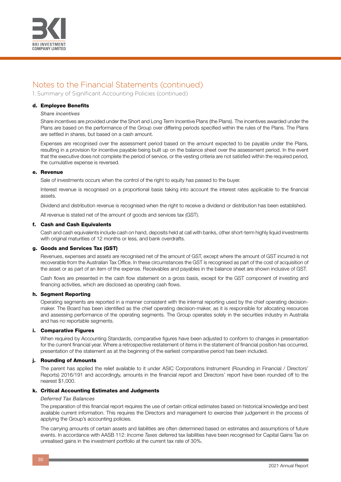

1. Summary of Significant Accounting Policies (continued)

#### d. Employee Benefits

#### Share incentives

Share incentives are provided under the Short and Long Term Incentive Plans (the Plans). The incentives awarded under the Plans are based on the performance of the Group over differing periods specified within the rules of the Plans. The Plans are settled in shares, but based on a cash amount.

Expenses are recognised over the assessment period based on the amount expected to be payable under the Plans, resulting in a provision for incentive payable being built up on the balance sheet over the assessment period. In the event that the executive does not complete the period of service, or the vesting criteria are not satisfied within the required period, the cumulative expense is reversed.

#### e. Revenue

Sale of investments occurs when the control of the right to equity has passed to the buyer.

Interest revenue is recognised on a proportional basis taking into account the interest rates applicable to the financial assets.

Dividend and distribution revenue is recognised when the right to receive a dividend or distribution has been established.

All revenue is stated net of the amount of goods and services tax (GST).

#### f. Cash and Cash Equivalents

Cash and cash equivalents include cash on hand, deposits held at call with banks, other short-term highly liquid investments with original maturities of 12 months or less, and bank overdrafts.

#### g. Goods and Services Tax (GST)

Revenues, expenses and assets are recognised net of the amount of GST, except where the amount of GST incurred is not recoverable from the Australian Tax Office. In these circumstances the GST is recognised as part of the cost of acquisition of the asset or as part of an item of the expense. Receivables and payables in the balance sheet are shown inclusive of GST.

Cash flows are presented in the cash flow statement on a gross basis, except for the GST component of investing and financing activities, which are disclosed as operating cash flows.

#### h. Segment Reporting

Operating segments are reported in a manner consistent with the internal reporting used by the chief operating decisionmaker. The Board has been identified as the chief operating decision-maker, as it is responsible for allocating resources and assessing performance of the operating segments. The Group operates solely in the securities industry in Australia and has no reportable segments.

#### i. Comparative Figures

When required by Accounting Standards, comparative figures have been adjusted to conform to changes in presentation for the current financial year. Where a retrospective restatement of items in the statement of financial position has occurred, presentation of the statement as at the beginning of the earliest comparative period has been included.

#### j. Rounding of Amounts

The parent has applied the relief available to it under ASIC Corporations Instrument (Rounding in Financial / Directors' Reports) 2016/191 and accordingly, amounts in the financial report and Directors' report have been rounded off to the nearest \$1,000.

#### k. Critical Accounting Estimates and Judgments

#### Deferred Tax Balances

The preparation of this financial report requires the use of certain critical estimates based on historical knowledge and best available current information. This requires the Directors and management to exercise their judgement in the process of applying the Group's accounting policies.

The carrying amounts of certain assets and liabilities are often determined based on estimates and assumptions of future events. In accordance with AASB 112: Income Taxes deferred tax liabilities have been recognised for Capital Gains Tax on unrealised gains in the investment portfolio at the current tax rate of 30%.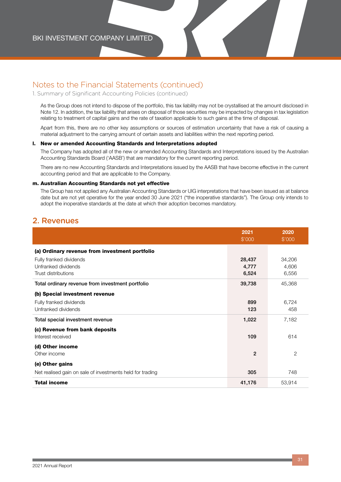#### BKI INVESTMENT COMPANY LIMITED

### Notes to the Financial Statements (continued)

1. Summary of Significant Accounting Policies (continued)

As the Group does not intend to dispose of the portfolio, this tax liability may not be crystallised at the amount disclosed in Note 12. In addition, the tax liability that arises on disposal of those securities may be impacted by changes in tax legislation relating to treatment of capital gains and the rate of taxation applicable to such gains at the time of disposal.

Apart from this, there are no other key assumptions or sources of estimation uncertainty that have a risk of causing a material adjustment to the carrying amount of certain assets and liabilities within the next reporting period.

#### l. New or amended Accounting Standards and Interpretations adopted

The Company has adopted all of the new or amended Accounting Standards and Interpretations issued by the Australian Accounting Standards Board ('AASB') that are mandatory for the current reporting period.

There are no new Accounting Standards and Interpretations issued by the AASB that have become effective in the current accounting period and that are applicable to the Company.

#### m. Australian Accounting Standards not yet effective

The Group has not applied any Australian Accounting Standards or UIG interpretations that have been issued as at balance date but are not yet operative for the year ended 30 June 2021 ("the inoperative standards"). The Group only intends to adopt the inoperative standards at the date at which their adoption becomes mandatory.

#### 2. Revenues

<span id="page-32-3"></span><span id="page-32-2"></span><span id="page-32-1"></span><span id="page-32-0"></span>

|                                                           | 2021           | 2020           |
|-----------------------------------------------------------|----------------|----------------|
|                                                           | \$'000         | \$'000         |
| (a) Ordinary revenue from investment portfolio            |                |                |
| Fully franked dividends                                   | 28,437         | 34,206         |
| Unfranked dividends                                       | 4,777          | 4,606          |
| Trust distributions                                       | 6,524          | 6,556          |
| Total ordinary revenue from investment portfolio          | 39,738         | 45,368         |
| (b) Special investment revenue                            |                |                |
| Fully franked dividends                                   | 899            | 6,724          |
| Unfranked dividends                                       | 123            | 458            |
| Total special investment revenue                          | 1,022          | 7,182          |
| (c) Revenue from bank deposits                            |                |                |
| Interest received                                         | 109            | 614            |
| (d) Other income                                          |                |                |
| Other income                                              | $\overline{2}$ | $\overline{2}$ |
| (e) Other gains                                           |                |                |
| Net realised gain on sale of investments held for trading | 305            | 748            |
| <b>Total income</b>                                       | 41,176         | 53,914         |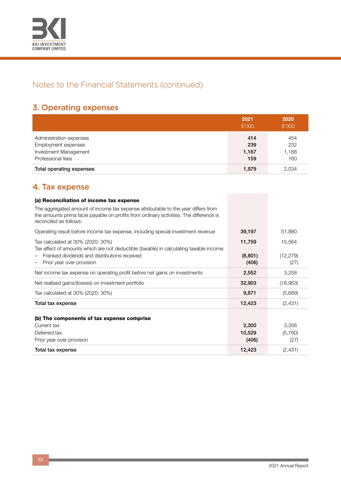

# 3. Operating expenses

|                                                                                              | 2021<br>\$'000             | 2020<br>\$'000             |
|----------------------------------------------------------------------------------------------|----------------------------|----------------------------|
| Administration expenses<br>Employment expenses<br>Investment Management<br>Professional fees | 414<br>239<br>1,167<br>159 | 454<br>232<br>1,188<br>160 |
| Total operating expenses                                                                     | 1,979                      | 2,034                      |

# 4. Tax expense

#### (a) Reconciliation of income tax expense

The aggregated amount of income tax expense attributable to the year differs from the amounts prima facie payable on profits from ordinary activities. The difference is reconciled as follows:

| Operating result before income tax expense, including special investment revenue                                             | 39,197           | 51,880            |
|------------------------------------------------------------------------------------------------------------------------------|------------------|-------------------|
| Tax calculated at 30% (2020: 30%)<br>Tax effect of amounts which are not deductible (taxable) in calculating taxable income: | 11,759           | 15,564            |
| Franked dividends and distributions received<br>Prior year over provision                                                    | (8,801)<br>(406) | (12, 279)<br>(27) |
| Net income tax expense on operating profit before net gains on investments                                                   | 2,552            | 3,258             |
| Net realised gains/(losses) on investment portfolio                                                                          | 32,903           | (18,963)          |
| Tax calculated at 30% (2020: 30%)                                                                                            | 9,871            | (5,689)           |
| Total tax expense                                                                                                            | 12,423           | (2,431)           |
| (b) The components of tax expense comprise<br>Current tax<br>Deferred tax                                                    | 2,300<br>10,529  | 3,356<br>(5,760)  |
| Prior year over provision                                                                                                    | (406)            | (27)              |
| Total tax expense                                                                                                            | 12,423           | (2,431)           |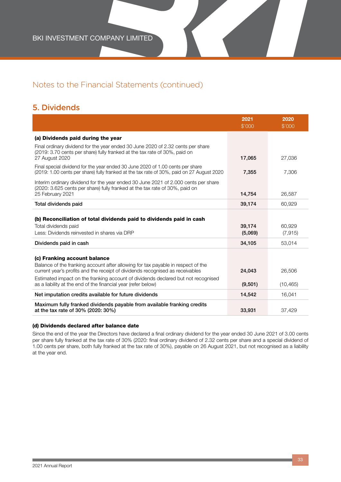### 5. Dividends

|                                                                                                                                                                                                                                                                                                                                                         | 2021<br>\$'000    | 2020<br>\$'000      |
|---------------------------------------------------------------------------------------------------------------------------------------------------------------------------------------------------------------------------------------------------------------------------------------------------------------------------------------------------------|-------------------|---------------------|
| (a) Dividends paid during the year                                                                                                                                                                                                                                                                                                                      |                   |                     |
| Final ordinary dividend for the year ended 30 June 2020 of 2.32 cents per share<br>(2019: 3.70 cents per share) fully franked at the tax rate of 30%, paid on<br>27 August 2020                                                                                                                                                                         | 17,065            | 27,036              |
| Final special dividend for the year ended 30 June 2020 of 1.00 cents per share<br>(2019: 1.00 cents per share) fully franked at the tax rate of 30%, paid on 27 August 2020                                                                                                                                                                             | 7,355             | 7,306               |
| Interim ordinary dividend for the year ended 30 June 2021 of 2.000 cents per share<br>(2020: 3.625 cents per share) fully franked at the tax rate of 30%, paid on<br>25 February 2021                                                                                                                                                                   | 14,754            | 26,587              |
| Total dividends paid                                                                                                                                                                                                                                                                                                                                    | 39,174            | 60,929              |
| (b) Reconciliation of total dividends paid to dividends paid in cash<br>Total dividends paid<br>Less: Dividends reinvested in shares via DRP                                                                                                                                                                                                            | 39,174<br>(5,069) | 60,929<br>(7, 915)  |
| Dividends paid in cash                                                                                                                                                                                                                                                                                                                                  | 34,105            | 53,014              |
| (c) Franking account balance<br>Balance of the franking account after allowing for tax payable in respect of the<br>current year's profits and the receipt of dividends recognised as receivables<br>Estimated impact on the franking account of dividends declared but not recognised<br>as a liability at the end of the financial year (refer below) | 24,043<br>(9,501) | 26,506<br>(10, 465) |
| Net imputation credits available for future dividends                                                                                                                                                                                                                                                                                                   | 14,542            | 16,041              |
| Maximum fully franked dividends payable from available franking credits<br>at the tax rate of 30% (2020: 30%)                                                                                                                                                                                                                                           | 33,931            | 37,429              |

#### (d) Dividends declared after balance date

Since the end of the year the Directors have declared a final ordinary dividend for the year ended 30 June 2021 of 3.00 cents per share fully franked at the tax rate of 30% (2020: final ordinary dividend of 2.32 cents per share and a special dividend of 1.00 cents per share, both fully franked at the tax rate of 30%), payable on 26 August 2021, but not recognised as a liability at the year end.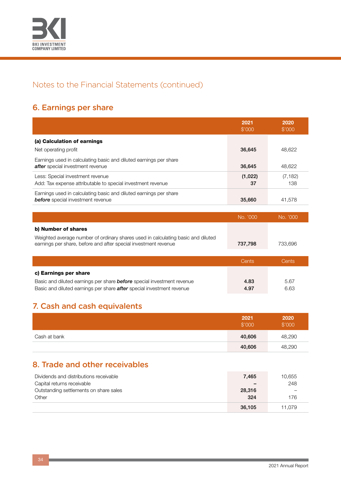

# 6. Earnings per share

|                                                                                                                                                               | 2021<br>\$'000 | 2020<br>\$'000  |
|---------------------------------------------------------------------------------------------------------------------------------------------------------------|----------------|-----------------|
| (a) Calculation of earnings                                                                                                                                   |                |                 |
| Net operating profit                                                                                                                                          | 36,645         | 48,622          |
| Earnings used in calculating basic and diluted earnings per share<br>after special investment revenue                                                         | 36,645         | 48,622          |
| Less: Special investment revenue<br>Add: Tax expense attributable to special investment revenue                                                               | (1,022)<br>37  | (7, 182)<br>138 |
| Earnings used in calculating basic and diluted earnings per share<br>before special investment revenue                                                        | 35,660         | 41,578          |
|                                                                                                                                                               |                |                 |
|                                                                                                                                                               | No. '000       | No. '000        |
| b) Number of shares                                                                                                                                           |                |                 |
| Weighted average number of ordinary shares used in calculating basic and diluted<br>earnings per share, before and after special investment revenue           | 737,798        | 733,696         |
|                                                                                                                                                               | Cents          | Cents           |
|                                                                                                                                                               |                |                 |
| c) Earnings per share                                                                                                                                         |                |                 |
| Basic and diluted earnings per share <b>before</b> special investment revenue<br>Basic and diluted earnings per share <b>after</b> special investment revenue | 4.83<br>4.97   | 5.67<br>6.63    |

# 7. Cash and cash equivalents

|              | 2021<br>\$'000 | 2020<br>\$'000 |
|--------------|----------------|----------------|
| Cash at bank | 40,606         | 48,290         |
|              | 40,606         | 48,290         |

# 8. Trade and other receivables

| Dividends and distributions receivable | 7,465                    | 10,655 |
|----------------------------------------|--------------------------|--------|
| Capital returns receivable             | $\overline{\phantom{0}}$ | 248    |
| Outstanding settlements on share sales | 28,316                   |        |
| Other                                  | 324                      | 176    |
|                                        | 36.105                   | 11.079 |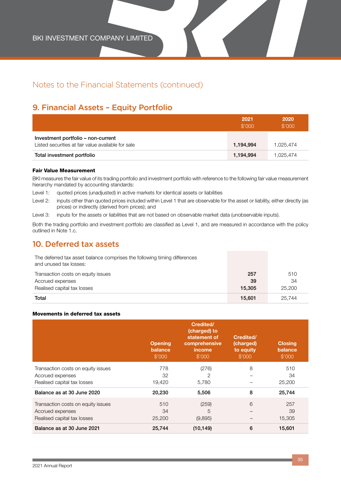### 9. Financial Assets – Equity Portfolio

|                                                                                          | 2021<br>\$'000 | 2020<br>\$'000 |
|------------------------------------------------------------------------------------------|----------------|----------------|
| Investment portfolio – non-current<br>Listed securities at fair value available for sale | 1,194,994      | 1,025,474      |
| Total investment portfolio                                                               | 1,194,994      | 1,025,474      |

#### Fair Value Measurement

BKI measures the fair value of its trading portfolio and investment portfolio with reference to the following fair value measurement hierarchy mandated by accounting standards:

Level 1: guoted prices (unadiusted) in active markets for identical assets or liabilities

Level 2: inputs other than quoted prices included within Level 1 that are observable for the asset or liability, either directly (as prices) or indirectly (derived from prices); and

Level 3: inputs for the assets or liabilities that are not based on observable market data (unobservable inputs).

Both the trading portfolio and investment portfolio are classified as Level 1, and are measured in accordance with the policy outlined in Note 1.c.

### 10. Deferred tax assets

The deferred tax asset balance comprises the following timing differences and unused tax losses:

| Transaction costs on equity issues<br>Accrued expenses | 257<br>39 | 510<br>34 |
|--------------------------------------------------------|-----------|-----------|
| Realised capital tax losses                            | 15,305    | 25,200    |
| Total                                                  | 15.601    | 25,744    |

#### Movements in deferred tax assets

|                                                                                       | <b>Opening</b><br>balance<br>\$'000 | Credited/<br>(charged) to<br>statement of<br>comprehensive<br><i>income</i><br>\$'000 | Credited/<br>(charged)<br>to equity<br>\$'000 | <b>Closing</b><br>balance<br>\$'000 |
|---------------------------------------------------------------------------------------|-------------------------------------|---------------------------------------------------------------------------------------|-----------------------------------------------|-------------------------------------|
| Transaction costs on equity issues<br>Accrued expenses<br>Realised capital tax losses | 778<br>32<br>19,420                 | (276)<br>2<br>5,780                                                                   | 8                                             | 510<br>34<br>25,200                 |
| Balance as at 30 June 2020                                                            | 20,230                              | 5,506                                                                                 | 8                                             | 25,744                              |
| Transaction costs on equity issues<br>Accrued expenses<br>Realised capital tax losses | 510<br>34<br>25,200                 | (259)<br>5<br>(9,895)                                                                 | 6                                             | 257<br>39<br>15,305                 |
| Balance as at 30 June 2021                                                            | 25,744                              | (10, 149)                                                                             | 6                                             | 15,601                              |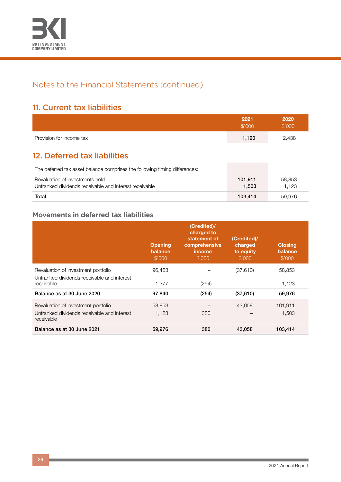

# 11. Current tax liabilities

|                          | 2021<br>\$'000 | 2020<br>\$'000 |
|--------------------------|----------------|----------------|
| Provision for income tax | 1,190          | 2,438          |

# 12. Deferred tax liabilities

| The deferred tax asset balance comprises the following timing differences:                |                  |                 |
|-------------------------------------------------------------------------------------------|------------------|-----------------|
| Revaluation of investments held<br>Unfranked dividends receivable and interest receivable | 101.911<br>1.503 | 58.853<br>1.123 |
| Total                                                                                     | 103.414          | 59.976          |

### **Movements in deferred tax liabilities**

|                                                                                                  | <b>Opening</b><br>balance<br>\$'000 | (Credited)/<br>charged to<br>statement of<br>comprehensive<br><i>income</i><br>\$'000 | (Credited)/<br>charged<br>to equity<br>\$'000 | <b>Closing</b><br>balance<br>\$'000 |
|--------------------------------------------------------------------------------------------------|-------------------------------------|---------------------------------------------------------------------------------------|-----------------------------------------------|-------------------------------------|
| Revaluation of investment portfolio<br>Unfranked dividends receivable and interest<br>receivable | 96.463<br>1.377                     | (254)                                                                                 | (37,610)                                      | 58,853<br>1,123                     |
| Balance as at 30 June 2020                                                                       | 97,840                              | (254)                                                                                 | (37,610)                                      | 59,976                              |
| Revaluation of investment portfolio<br>Unfranked dividends receivable and interest<br>receivable | 58,853<br>1,123                     | 380                                                                                   | 43.058                                        | 101,911<br>1,503                    |
| Balance as at 30 June 2021                                                                       | 59,976                              | 380                                                                                   | 43,058                                        | 103,414                             |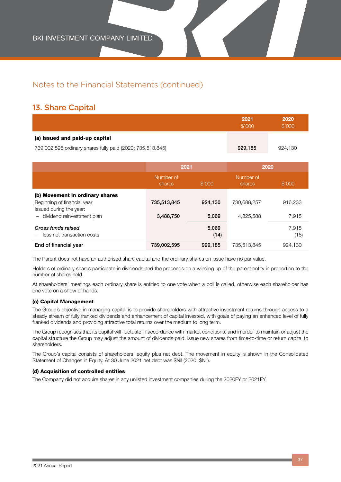### 13. Share Capital

|                                                            | 2021<br>\$'000 | 2020<br>\$'000 |
|------------------------------------------------------------|----------------|----------------|
| (a) Issued and paid-up capital                             |                |                |
| 739,002,595 ordinary shares fully paid (2020: 735,513,845) | 929,185        | 924.130        |

|                                                                                                                         | 2021                     |                  | 2020                     |                  |
|-------------------------------------------------------------------------------------------------------------------------|--------------------------|------------------|--------------------------|------------------|
|                                                                                                                         | Number of<br>shares      | \$'000           | Number of<br>shares      | \$'000           |
| (b) Movement in ordinary shares<br>Beginning of financial year<br>Issued during the year:<br>dividend reinvestment plan | 735,513,845<br>3,488,750 | 924,130<br>5,069 | 730,688,257<br>4,825,588 | 916,233<br>7.915 |
| Gross funds raised<br>less net transaction costs                                                                        |                          | 5,069<br>(14)    |                          | 7,915<br>(18)    |
| End of financial year                                                                                                   | 739,002,595              | 929,185          | 735.513.845              | 924.130          |

The Parent does not have an authorised share capital and the ordinary shares on issue have no par value.

Holders of ordinary shares participate in dividends and the proceeds on a winding up of the parent entity in proportion to the number of shares held.

At shareholders' meetings each ordinary share is entitled to one vote when a poll is called, otherwise each shareholder has one vote on a show of hands.

#### (c) Capital Management

The Group's objective in managing capital is to provide shareholders with attractive investment returns through access to a steady stream of fully franked dividends and enhancement of capital invested, with goals of paying an enhanced level of fully franked dividends and providing attractive total returns over the medium to long term.

The Group recognises that its capital will fluctuate in accordance with market conditions, and in order to maintain or adjust the capital structure the Group may adjust the amount of dividends paid, issue new shares from time-to-time or return capital to shareholders.

The Group's capital consists of shareholders' equity plus net debt. The movement in equity is shown in the Consolidated Statement of Changes in Equity. At 30 June 2021 net debt was \$Nil (2020: \$Nil).

#### (d) Acquisition of controlled entities

The Company did not acquire shares in any unlisted investment companies during the 2020FY or 2021FY.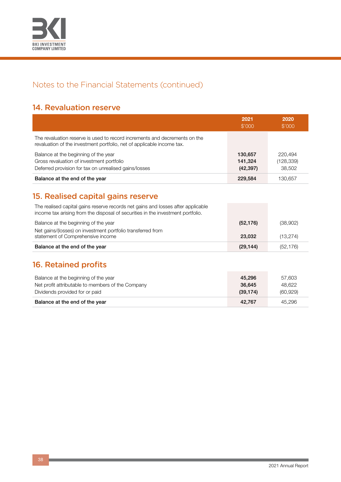

# 14. Revaluation reserve

|                                                                                                                                                      | 2021<br>\$'000                  | 2020<br>\$'000                 |
|------------------------------------------------------------------------------------------------------------------------------------------------------|---------------------------------|--------------------------------|
| The revaluation reserve is used to record increments and decrements on the<br>revaluation of the investment portfolio, net of applicable income tax. |                                 |                                |
| Balance at the beginning of the year<br>Gross revaluation of investment portfolio<br>Deferred provision for tax on unrealised gains/losses           | 130,657<br>141,324<br>(42, 397) | 220,494<br>(128,339)<br>38,502 |
| Balance at the end of the year                                                                                                                       | 229,584                         | 130.657                        |
| 15. Realised capital gains reserve<br>The realised capital gains reserve records net gains and losses after applicable                               |                                 |                                |
| income tax arising from the disposal of securities in the investment portfolio.                                                                      |                                 |                                |
| Balance at the beginning of the year<br>Net gains/(losses) on investment portfolio transferred from                                                  | (52, 176)                       | (38,902)                       |
| statement of Comprehensive income                                                                                                                    | 23,032                          | (13, 274)                      |

Balance at the end of the year (52,176) (52,176)

# 16. Retained profits

| Balance at the beginning of the year              | 45.296    | 57.603    |
|---------------------------------------------------|-----------|-----------|
| Net profit attributable to members of the Company | 36.645    | 48.622    |
| Dividends provided for or paid                    | (39, 174) | (60, 929) |
| Balance at the end of the year                    | 42.767    | 45.296    |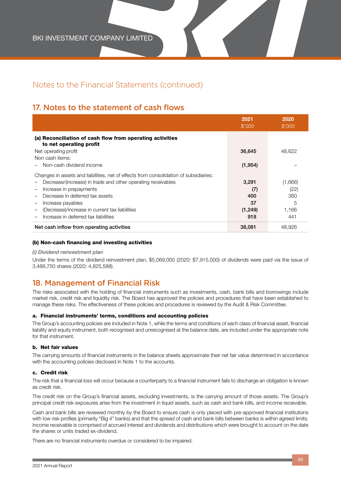### 17. Notes to the statement of cash flows

|                                                                                       | 2021<br>\$'000 | 2020<br>\$'000 |
|---------------------------------------------------------------------------------------|----------------|----------------|
| (a) Reconciliation of cash flow from operating activities<br>to net operating profit  |                |                |
| Net operating profit                                                                  | 36,645         | 48.622         |
| Non cash items:                                                                       |                |                |
| Non-cash dividend income                                                              | (1,954)        |                |
| Changes in assets and liabilities, net of effects from consolidation of subsidiaries: |                |                |
| Decrease/(increase) in trade and other operating receivables                          | 3,291          | (1,666)        |
| Increase in prepayments                                                               | (7)            | (22)           |
| Decrease in deferred tax assets                                                       | 400            | 380            |
| Increase payables                                                                     | 37             | 5              |
| (Decrease)/increase in current tax liabilities                                        | (1,249)        | 1,166          |
| Increase in deferred tax liabilities                                                  | 918            | 441            |
| Net cash inflow from operating activities                                             | 38,081         | 48.926         |

#### (b) Non-cash financing and investing activities

#### (i) Dividend reinvestment plan

Under the terms of the dividend reinvestment plan, \$5,069,000 (2020: \$7,915,000) of dividends were paid via the issue of 3,488,750 shares (2020: 4,825,588).

### 18. Management of Financial Risk

The risks associated with the holding of financial instruments such as investments, cash, bank bills and borrowings include market risk, credit risk and liquidity risk. The Board has approved the policies and procedures that have been established to manage these risks. The effectiveness of these policies and procedures is reviewed by the Audit & Risk Committee.

#### a. Financial instruments' terms, conditions and accounting policies

The Group's accounting policies are included in Note 1, while the terms and conditions of each class of financial asset, financial liability and equity instrument, both recognised and unrecognised at the balance date, are included under the appropriate note for that instrument.

#### b. Net fair values

The carrying amounts of financial instruments in the balance sheets approximate their net fair value determined in accordance with the accounting policies disclosed in Note 1 to the accounts.

#### c. Credit risk

The risk that a financial loss will occur because a counterparty to a financial instrument fails to discharge an obligation is known as credit risk.

The credit risk on the Group's financial assets, excluding investments, is the carrying amount of those assets. The Group's principal credit risk exposures arise from the investment in liquid assets, such as cash and bank bills, and income receivable.

Cash and bank bills are reviewed monthly by the Board to ensure cash is only placed with pre-approved financial institutions with low risk profiles (primarily "Big 4" banks) and that the spread of cash and bank bills between banks is within agreed limits. Income receivable is comprised of accrued interest and dividends and distributions which were brought to account on the date the shares or units traded ex-dividend.

There are no financial instruments overdue or considered to be impaired.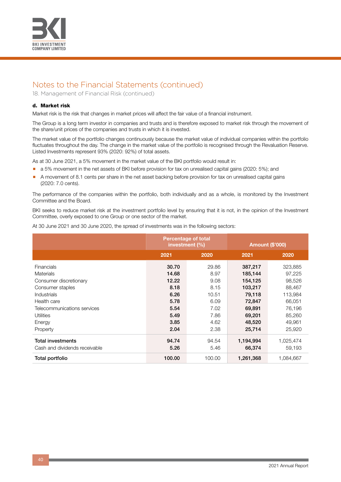

18. Management of Financial Risk (continued)

#### d. Market risk

Market risk is the risk that changes in market prices will affect the fair value of a financial instrument.

The Group is a long term investor in companies and trusts and is therefore exposed to market risk through the movement of the share/unit prices of the companies and trusts in which it is invested.

The market value of the portfolio changes continuously because the market value of individual companies within the portfolio fluctuates throughout the day. The change in the market value of the portfolio is recognised through the Revaluation Reserve. Listed Investments represent 93% (2020: 92%) of total assets.

As at 30 June 2021, a 5% movement in the market value of the BKI portfolio would result in:

- p a 5% movement in the net assets of BKI before provision for tax on unrealised capital gains (2020: 5%); and
- A movement of 8.1 cents per share in the net asset backing before provision for tax on unrealised capital gains (2020: 7.0 cents).

The performance of the companies within the portfolio, both individually and as a whole, is monitored by the Investment Committee and the Board.

BKI seeks to reduce market risk at the investment portfolio level by ensuring that it is not, in the opinion of the Investment Committee, overly exposed to one Group or one sector of the market.

At 30 June 2021 and 30 June 2020, the spread of investments was in the following sectors:

|                               | <b>Percentage of total</b><br>investment $(\% )$ |        | <b>Amount (\$'000)</b> |           |
|-------------------------------|--------------------------------------------------|--------|------------------------|-----------|
|                               | 2021                                             | 2020   | 2021                   | 2020      |
| <b>Financials</b>             | 30.70                                            | 29.86  | 387,217                | 323,885   |
| <b>Materials</b>              | 14.68                                            | 8.97   | 185,144                | 97,225    |
| Consumer discretionary        | 12.22                                            | 9.08   | 154,125                | 98,526    |
| Consumer staples              | 8.18                                             | 8.15   | 103,217                | 88,467    |
| <b>Industrials</b>            | 6.26                                             | 10.51  | 79,118                 | 113,984   |
| Health care                   | 5.78                                             | 6.09   | 72,847                 | 66,051    |
| Telecommunications services   | 5.54                                             | 7.02   | 69,891                 | 76,196    |
| Utilities                     | 5.49                                             | 7.86   | 69,201                 | 85,260    |
| Energy                        | 3.85                                             | 4.62   | 48,520                 | 49,961    |
| Property                      | 2.04                                             | 2.38   | 25,714                 | 25,920    |
| <b>Total investments</b>      | 94.74                                            | 94.54  | 1,194,994              | 1,025,474 |
| Cash and dividends receivable | 5.26                                             | 5.46   | 66,374                 | 59,193    |
| Total portfolio               | 100.00                                           | 100.00 | 1,261,368              | 1,084,667 |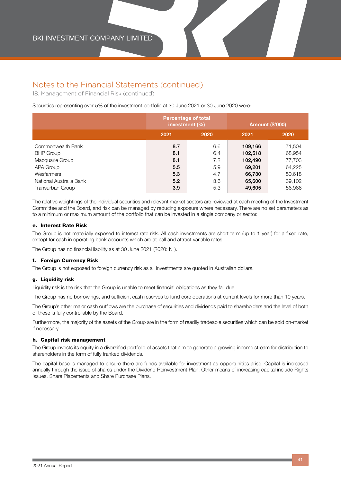18. Management of Financial Risk (continued)

Securities representing over 5% of the investment portfolio at 30 June 2021 or 30 June 2020 were:

|                         | <b>Percentage of total</b><br>investment $(\% )$ |      | Amount (\$'000) |        |
|-------------------------|--------------------------------------------------|------|-----------------|--------|
|                         | 2021                                             | 2020 | 2021            | 2020   |
| Commonwealth Bank       | 8.7                                              | 6.6  | 109,166         | 71,504 |
| <b>BHP Group</b>        | 8.1                                              | 6.4  | 102,518         | 68,954 |
| Macquarie Group         | 8.1                                              | 7.2  | 102,490         | 77,703 |
| APA Group               | 5.5                                              | 5.9  | 69,201          | 64,225 |
| Wesfarmers              | 5.3                                              | 4.7  | 66,730          | 50,618 |
| National Australia Bank | 5.2                                              | 3.6  | 65,600          | 39,102 |
| Transurban Group        | 3.9                                              | 5.3  | 49,605          | 56,966 |

The relative weightings of the individual securities and relevant market sectors are reviewed at each meeting of the Investment Committee and the Board, and risk can be managed by reducing exposure where necessary. There are no set parameters as to a minimum or maximum amount of the portfolio that can be invested in a single company or sector.

#### e. Interest Rate Risk

The Group is not materially exposed to interest rate risk. All cash investments are short term (up to 1 year) for a fixed rate, except for cash in operating bank accounts which are at-call and attract variable rates.

The Group has no financial liability as at 30 June 2021 (2020: Nil).

#### f. Foreign Currency Risk

The Group is not exposed to foreign currency risk as all investments are quoted in Australian dollars.

#### g. Liquidity risk

Liquidity risk is the risk that the Group is unable to meet financial obligations as they fall due.

The Group has no borrowings, and sufficient cash reserves to fund core operations at current levels for more than 10 years.

The Group's other major cash outflows are the purchase of securities and dividends paid to shareholders and the level of both of these is fully controllable by the Board.

Furthermore, the majority of the assets of the Group are in the form of readily tradeable securities which can be sold on-market if necessary.

#### h. Capital risk management

The Group invests its equity in a diversified portfolio of assets that aim to generate a growing income stream for distribution to shareholders in the form of fully franked dividends.

The capital base is managed to ensure there are funds available for investment as opportunities arise. Capital is increased annually through the issue of shares under the Dividend Reinvestment Plan. Other means of increasing capital include Rights Issues, Share Placements and Share Purchase Plans.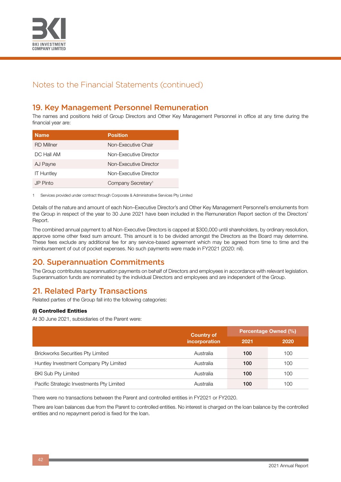

### 19. Key Management Personnel Remuneration

The names and positions held of Group Directors and Other Key Management Personnel in office at any time during the financial year are:

| <b>Name</b>       | <b>Position</b>                |
|-------------------|--------------------------------|
| <b>RD</b> Millner | Non-Executive Chair            |
| DC Hall AM        | Non-Executive Director         |
| AJ Payne          | Non-Executive Director         |
| <b>IT Huntley</b> | Non-Executive Director         |
| JP Pinto          | Company Secretary <sup>1</sup> |

1 Services provided under contract through Corporate & Administrative Services Pty Limited

Details of the nature and amount of each Non–Executive Director's and Other Key Management Personnel's emoluments from the Group in respect of the year to 30 June 2021 have been included in the Remuneration Report section of the Directors' Report.

The combined annual payment to all Non-Executive Directors is capped at \$300,000 until shareholders, by ordinary resolution, approve some other fixed sum amount. This amount is to be divided amongst the Directors as the Board may determine. These fees exclude any additional fee for any service-based agreement which may be agreed from time to time and the reimbursement of out of pocket expenses. No such payments were made in FY2021 (2020: nil).

### 20. Superannuation Commitments

The Group contributes superannuation payments on behalf of Directors and employees in accordance with relevant legislation. Superannuation funds are nominated by the individual Directors and employees and are independent of the Group.

### 21. Related Party Transactions

Related parties of the Group fall into the following categories:

#### (i) Controlled Entities

At 30 June 2021, subsidiaries of the Parent were:

|                                           | <b>Country of</b> | <b>Percentage Owned (%)</b> |      |  |
|-------------------------------------------|-------------------|-----------------------------|------|--|
|                                           | incorporation     | 2021                        | 2020 |  |
| <b>Brickworks Securities Pty Limited</b>  | Australia         | 100                         | 100  |  |
| Huntley Investment Company Pty Limited    | Australia         | 100                         | 100  |  |
| <b>BKI Sub Pty Limited</b>                | Australia         | 100                         | 100  |  |
| Pacific Strategic Investments Pty Limited | Australia         | 100                         | 100  |  |

There were no transactions between the Parent and controlled entities in FY2021 or FY2020.

There are loan balances due from the Parent to controlled entities. No interest is charged on the loan balance by the controlled entities and no repayment period is fixed for the loan.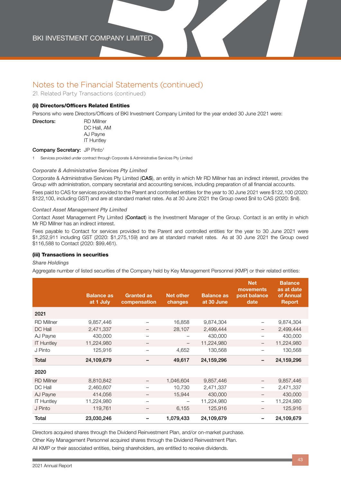21. Related Party Transactions (continued)

#### (ii) Directors/Officers Related Entities

Persons who were Directors/Officers of BKI Investment Company Limited for the year ended 30 June 2021 were:

| Directors: | <b>RD Millner</b>           |
|------------|-----------------------------|
|            | $\bigcap \bigcap_{i=1}^{n}$ |

| Directors: | RD Millner        |
|------------|-------------------|
|            | DC Hall, AM       |
|            | AJ Payne          |
|            | <b>IT Huntley</b> |

#### Company Secretary: JP Pinto<sup>1</sup>

1 Services provided under contract through Corporate & Administrative Services Pty Limited

#### Corporate & Administrative Services Pty Limited

Corporate & Administrative Services Pty Limited (CAS), an entity in which Mr RD Millner has an indirect interest, provides the Group with administration, company secretarial and accounting services, including preparation of all financial accounts. Fees paid to CAS for services provided to the Parent and controlled entities for the year to 30 June 2021 were \$122,100 (2020: \$122,100, including GST) and are at standard market rates. As at 30 June 2021 the Group owed \$nil to CAS (2020: \$nil).

#### Contact Asset Management Pty Limited

Contact Asset Management Pty Limited (Contact) is the Investment Manager of the Group. Contact is an entity in which Mr RD Millner has an indirect interest.

Fees payable to Contact for services provided to the Parent and controlled entities for the year to 30 June 2021 were \$1,252,911 including GST (2020: \$1,275,159) and are at standard market rates. As at 30 June 2021 the Group owed \$116,588 to Contact (2020: \$99,461).

#### (iii) Transactions in securities

#### Share Holdings

Aggregate number of listed securities of the Company held by Key Management Personnel (KMP) or their related entities:

|                   | <b>Balance as</b><br>at 1 July | <b>Granted as</b><br>compensation | <b>Net other</b><br>changes | <b>Balance as</b><br>at 30 June | <b>Net</b><br>movements<br>post balance<br>date | <b>Balance</b><br>as at date<br>of Annual<br><b>Report</b> |
|-------------------|--------------------------------|-----------------------------------|-----------------------------|---------------------------------|-------------------------------------------------|------------------------------------------------------------|
| 2021              |                                |                                   |                             |                                 |                                                 |                                                            |
| <b>RD Millner</b> | 9,857,446                      |                                   | 16,858                      | 9,874,304                       | $\qquad \qquad -$                               | 9,874,304                                                  |
| DC Hall           | 2,471,337                      |                                   | 28,107                      | 2,499,444                       |                                                 | 2,499,444                                                  |
| AJ Payne          | 430,000                        | $\overline{\phantom{0}}$          |                             | 430,000                         | $\overline{\phantom{0}}$                        | 430,000                                                    |
| <b>IT Huntley</b> | 11,224,980                     |                                   | $\qquad \qquad -$           | 11,224,980                      | $\qquad \qquad -$                               | 11,224,980                                                 |
| J Pinto           | 125,916                        |                                   | 4,652                       | 130,568                         |                                                 | 130,568                                                    |
| <b>Total</b>      | 24,109,679                     |                                   | 49,617                      | 24,159,296                      | -                                               | 24,159,296                                                 |
| 2020              |                                |                                   |                             |                                 |                                                 |                                                            |
| <b>RD Millner</b> | 8,810,842                      |                                   | 1,046,604                   | 9,857,446                       | $\qquad \qquad -$                               | 9,857,446                                                  |
| DC Hall           | 2,460,607                      |                                   | 10,730                      | 2,471,337                       | —                                               | 2,471,337                                                  |
| AJ Payne          | 414,056                        |                                   | 15,944                      | 430,000                         | —                                               | 430,000                                                    |
| <b>IT Huntley</b> | 11,224,980                     |                                   |                             | 11,224,980                      | $\qquad \qquad -$                               | 11,224,980                                                 |
| J Pinto           | 119,761                        |                                   | 6,155                       | 125,916                         |                                                 | 125,916                                                    |
| Total             | 23,030,246                     |                                   | 1,079,433                   | 24,109,679                      |                                                 | 24,109,679                                                 |

Directors acquired shares through the Dividend Reinvestment Plan, and/or on-market purchase. Other Key Management Personnel acquired shares through the Dividend Reinvestment Plan.

All KMP or their associated entities, being shareholders, are entitled to receive dividends.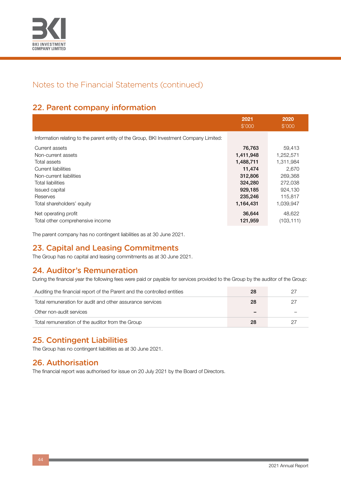

# 22. Parent company information

|                                                                                         | 2021<br>\$'000 | 2020<br>\$'000 |
|-----------------------------------------------------------------------------------------|----------------|----------------|
| Information relating to the parent entity of the Group, BKI Investment Company Limited: |                |                |
| Current assets                                                                          | 76,763         | 59,413         |
| Non-current assets                                                                      | 1,411,948      | 1,252,571      |
| Total assets                                                                            | 1,488,711      | 1,311,984      |
| Current liabilities                                                                     | 11,474         | 2.670          |
| Non-current liabilities                                                                 | 312,806        | 269,368        |
| <b>Total liabilities</b>                                                                | 324,280        | 272,038        |
| <b>Issued capital</b>                                                                   | 929,185        | 924,130        |
| Reserves                                                                                | 235,246        | 115,817        |
| Total shareholders' equity                                                              | 1,164,431      | 1,039,947      |
| Net operating profit                                                                    | 36,644         | 48,622         |
| Total other comprehensive income                                                        | 121,959        | (103, 111)     |

The parent company has no contingent liabilities as at 30 June 2021.

# 23. Capital and Leasing Commitments

The Group has no capital and leasing commitments as at 30 June 2021.

### 24. Auditor's Remuneration

During the financial year the following fees were paid or payable for services provided to the Group by the auditor of the Group:

| Auditing the financial report of the Parent and the controlled entities | 28 |  |
|-------------------------------------------------------------------------|----|--|
| Total remuneration for audit and other assurance services               | 28 |  |
| Other non-audit services                                                |    |  |
| Total remuneration of the auditor from the Group                        | 28 |  |

# 25. Contingent Liabilities

The Group has no contingent liabilities as at 30 June 2021.

# 26. Authorisation

The financial report was authorised for issue on 20 July 2021 by the Board of Directors.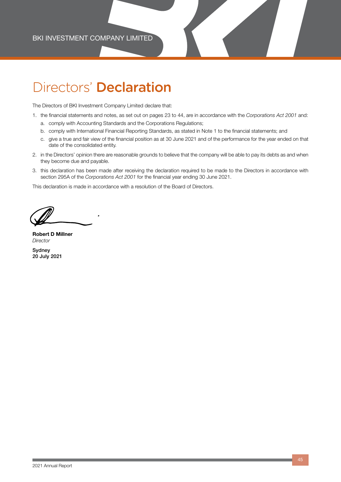#### <span id="page-46-0"></span>BKI INVESTMENT COMPANY LIMITED

# Directors' Declaration

The Directors of BKI Investment Company Limited declare that:

- 1. the financial statements and notes, as set out on pages 23 to 44, are in accordance with the Corporations Act 2001 and:
	- a. comply with Accounting Standards and the Corporations Regulations;
	- b. comply with International Financial Reporting Standards, as stated in Note 1 to the financial statements; and
	- c. give a true and fair view of the financial position as at 30 June 2021 and of the performance for the year ended on that date of the consolidated entity.
- 2. in the Directors' opinion there are reasonable grounds to believe that the company will be able to pay its debts as and when they become due and payable.
- 3. this declaration has been made after receiving the declaration required to be made to the Directors in accordance with section 295A of the Corporations Act 2001 for the financial year ending 30 June 2021.

This declaration is made in accordance with a resolution of the Board of Directors.

Robert D Millner **Director** 

Sydney 20 July 2021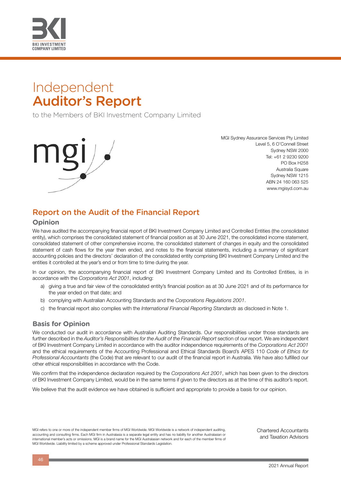<span id="page-47-0"></span>

# Independent Auditor's Report

to the Members of BKI Investment Company Limited



MGI Sydney Assurance Services Pty Limited Level 5, 6 O'Connell Street Sydney NSW 2000 Tel: +61 2 9230 9200 PO Box H258 Australia Square Sydney NSW 1215 ABN 24 160 063 525 www.mgisyd.com.au

# Report on the Audit of the Financial Report

#### **Opinion**

We have audited the accompanying financial report of BKI Investment Company Limited and Controlled Entities (the consolidated entity), which comprises the consolidated statement of financial position as at 30 June 2021, the consolidated income statement, consolidated statement of other comprehensive income, the consolidated statement of changes in equity and the consolidated statement of cash flows for the year then ended, and notes to the financial statements, including a summary of significant accounting policies and the directors' declaration of the consolidated entity comprising BKI Investment Company Limited and the entities it controlled at the year's end or from time to time during the year.

In our opinion, the accompanying financial report of BKI Investment Company Limited and its Controlled Entities, is in accordance with the Corporations Act 2001, including:

- a) giving a true and fair view of the consolidated entity's financial position as at 30 June 2021 and of its performance for the year ended on that date; and
- b) complying with Australian Accounting Standards and the Corporations Regulations 2001.
- c) the financial report also complies with the International Financial Reporting Standards as disclosed in Note 1.

#### **Basis for Opinion**

We conducted our audit in accordance with Australian Auditing Standards. Our responsibilities under those standards are further described in the Auditor's Responsibilities for the Audit of the Financial Report section of our report. We are independent of BKI Investment Company Limited in accordance with the auditor independence requirements of the Corporations Act 2001 and the ethical requirements of the Accounting Professional and Ethical Standards Board's APES 110 Code of Ethics for Professional Accountants (the Code) that are relevant to our audit of the financial report in Australia. We have also fulfilled our other ethical responsibilities in accordance with the Code.

We confirm that the independence declaration required by the Corporations Act 2001, which has been given to the directors of BKI Investment Company Limited, would be in the same terms if given to the directors as at the time of this auditor's report.

We believe that the audit evidence we have obtained is sufficient and appropriate to provide a basis for our opinion.

MGI refers to one or more of the independent member firms of MGI Worldwide. MGI Worldwide is a network of independent auditing, accounting and consulting firms. Each MGI firm in Australasia is a separate legal entity and has no liability for another Australasian or international member's acts or omissions. MGI is a brand name for the MGI Australasian network and for each of the member firms of MGI Worldwide. Liability limited by a scheme approved under Professional Standards Legislation.

Chartered Accountants and Taxation Advisors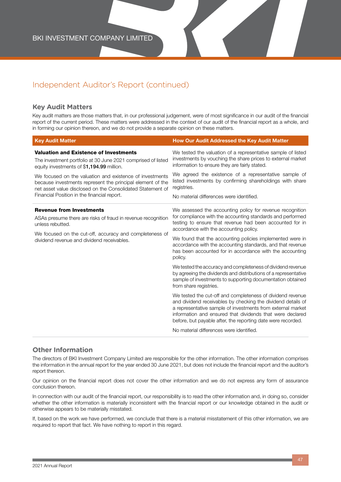# Independent Auditor's Report (continued)

#### **Key Audit Matters**

Key audit matters are those matters that, in our professional judgement, were of most significance in our audit of the financial report of the current period. These matters were addressed in the context of our audit of the financial report as a whole, and in forming our opinion thereon, and we do not provide a separate opinion on these matters.

| <b>Key Audit Matter</b>                                                                                                                                                                                                      | <b>How Our Audit Addressed the Key Audit Matter</b>                                                                                                                                                                                                                                                                    |
|------------------------------------------------------------------------------------------------------------------------------------------------------------------------------------------------------------------------------|------------------------------------------------------------------------------------------------------------------------------------------------------------------------------------------------------------------------------------------------------------------------------------------------------------------------|
| <b>Valuation and Existence of Investments</b><br>The investment portfolio at 30 June 2021 comprised of listed<br>equity investments of \$1,194.99 million.                                                                   | We tested the valuation of a representative sample of listed<br>investments by vouching the share prices to external market<br>information to ensure they are fairly stated.                                                                                                                                           |
| We focused on the valuation and existence of investments<br>because investments represent the principal element of the<br>net asset value disclosed on the Consolidated Statement of                                         | We agreed the existence of a representative sample of<br>listed investments by confirming shareholdings with share<br>registries.                                                                                                                                                                                      |
| Financial Position in the financial report.                                                                                                                                                                                  | No material differences were identified.                                                                                                                                                                                                                                                                               |
| <b>Revenue from Investments</b><br>ASAs presume there are risks of fraud in revenue recognition<br>unless rebutted.<br>We focused on the cut-off, accuracy and completeness of<br>dividend revenue and dividend receivables. | We assessed the accounting policy for revenue recognition<br>for compliance with the accounting standards and performed<br>testing to ensure that revenue had been accounted for in<br>accordance with the accounting policy.                                                                                          |
|                                                                                                                                                                                                                              | We found that the accounting policies implemented were in<br>accordance with the accounting standards, and that revenue<br>has been accounted for in accordance with the accounting<br>policy.                                                                                                                         |
|                                                                                                                                                                                                                              | We tested the accuracy and completeness of dividend revenue<br>by agreeing the dividends and distributions of a representative<br>sample of investments to supporting documentation obtained<br>from share registries.                                                                                                 |
|                                                                                                                                                                                                                              | We tested the cut-off and completeness of dividend revenue<br>and dividend receivables by checking the dividend details of<br>a representative sample of investments from external market<br>information and ensured that dividends that were declared<br>before, but payable after, the reporting date were recorded. |
|                                                                                                                                                                                                                              | No material differences were identified.                                                                                                                                                                                                                                                                               |

#### **Other Information**

The directors of BKI Investment Company Limited are responsible for the other information. The other information comprises the information in the annual report for the year ended 30 June 2021, but does not include the financial report and the auditor's report thereon.

Our opinion on the financial report does not cover the other information and we do not express any form of assurance conclusion thereon.

In connection with our audit of the financial report, our responsibility is to read the other information and, in doing so, consider whether the other information is materially inconsistent with the financial report or our knowledge obtained in the audit or otherwise appears to be materially misstated.

If, based on the work we have performed, we conclude that there is a material misstatement of this other information, we are required to report that fact. We have nothing to report in this regard.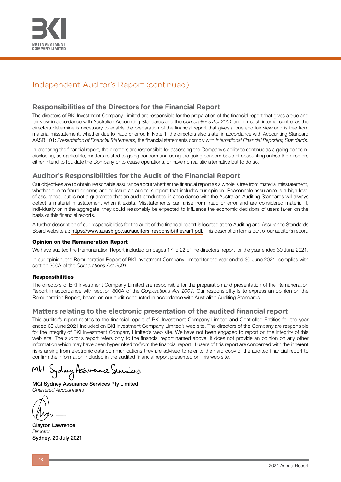

# Independent Auditor's Report (continued)

#### **Responsibilities of the Directors for the Financial Report**

The directors of BKI Investment Company Limited are responsible for the preparation of the financial report that gives a true and fair view in accordance with Australian Accounting Standards and the Corporations Act 2001 and for such internal control as the directors determine is necessary to enable the preparation of the financial report that gives a true and fair view and is free from material misstatement, whether due to fraud or error. In Note 1, the directors also state, in accordance with Accounting Standard AASB 101: Presentation of Financial Statements, the financial statements comply with International Financial Reporting Standards.

In preparing the financial report, the directors are responsible for assessing the Company's ability to continue as a going concern, disclosing, as applicable, matters related to going concern and using the going concern basis of accounting unless the directors either intend to liquidate the Company or to cease operations, or have no realistic alternative but to do so.

#### **Auditor's Responsibilities for the Audit of the Financial Report**

Our objectives are to obtain reasonable assurance about whether the financial report as a whole is free from material misstatement, whether due to fraud or error, and to issue an auditor's report that includes our opinion. Reasonable assurance is a high level of assurance, but is not a guarantee that an audit conducted in accordance with the Australian Auditing Standards will always detect a material misstatement when it exists. Misstatements can arise from fraud or error and are considered material if, individually or in the aggregate, they could reasonably be expected to influence the economic decisions of users taken on the basis of this financial reports.

A further description of our responsibilities for the audit of the financial report is located at the Auditing and Assurance Standards Board website at: [https://www.auasb.gov.au/auditors\\_responsibilities/ar1.pdf.](https://www.auasb.gov.au/auditors_responsibilities/ar1.pdf.) This description forms part of our auditor's report.

#### Opinion on the Remuneration Report

We have audited the Remuneration Report included on pages 17 to 22 of the directors' report for the year ended 30 June 2021.

In our opinion, the Remuneration Report of BKI Investment Company Limited for the year ended 30 June 2021, complies with section 300A of the Corporations Act 2001.

#### Responsibilities

The directors of BKI Investment Company Limited are responsible for the preparation and presentation of the Remuneration Report in accordance with section 300A of the Corporations Act 2001. Our responsibility is to express an opinion on the Remuneration Report, based on our audit conducted in accordance with Australian Auditing Standards.

#### **Matters relating to the electronic presentation of the audited financial report**

This auditor's report relates to the financial report of BKI Investment Company Limited and Controlled Entities for the year ended 30 June 2021 included on BKI Investment Company Limited's web site. The directors of the Company are responsible for the integrity of BKI Investment Company Limited's web site. We have not been engaged to report on the integrity of this web site. The auditor's report refers only to the financial report named above. It does not provide an opinion on any other information which may have been hyperlinked to/from the financial report. If users of this report are concerned with the inherent risks arising from electronic data communications they are advised to refer to the hard copy of the audited financial report to confirm the information included in the audited financial report presented on this web site.

Sydny Assurance Sennices

MGI Sydney Assurance Services Pty Limited Chartered Accountants

Clayton Lawrence **Director** Sydney, 20 July 2021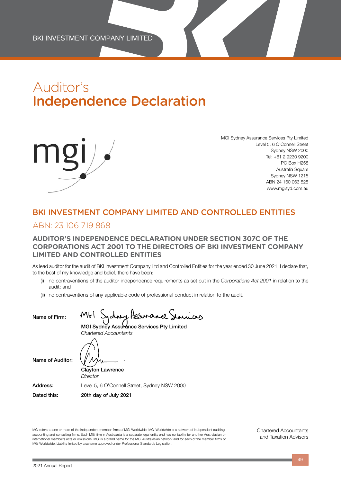# <span id="page-50-0"></span>Auditor's Independence Declaration



MGI Sydney Assurance Services Pty Limited Level 5, 6 O'Connell Street Sydney NSW 2000 Tel: +61 2 9230 9200 PO Box H258 Australia Square Sydney NSW 1215 ABN 24 160 063 525 www.mgisyd.com.au

### BKI INVESTMENT COMPANY LIMITED AND CONTROLLED ENTITIES

### ABN: 23 106 719 868

#### **AUDITOR'S INDEPENDENCE DECLARATION UNDER SECTION 307C OF THE CORPORATIONS ACT 2001 TO THE DIRECTORS OF BKI INVESTMENT COMPANY LIMITED AND CONTROLLED ENTITIES**

As lead auditor for the audit of BKI Investment Company Ltd and Controlled Entities for the year ended 30 June 2021, I declare that, to the best of my knowledge and belief, there have been:

- (i) no contraventions of the auditor independence requirements as set out in the Corporations Act 2001 in relation to the audit; and
- (ii) no contraventions of any applicable code of professional conduct in relation to the audit.

Name of Firm: MGI Sydney Assurance Services Pty Limited Chartered Accountants Name of Auditor: Clayton Lawrence **Director** Address: Level 5, 6 O'Connell Street, Sydney NSW 2000

Dated this: 20th day of July 2021

MGI refers to one or more of the independent member firms of MGI Worldwide. MGI Worldwide is a network of independent auditing, accounting and consulting firms. Each MGI firm in Australasia is a separate legal entity and has no liability for another Australasian or international member's acts or omissions. MGI is a brand name for the MGI Australasian network and for each of the member firms of MGI Worldwide. Liability limited by a scheme approved under Professional Standards Legislation.

Chartered Accountants and Taxation Advisors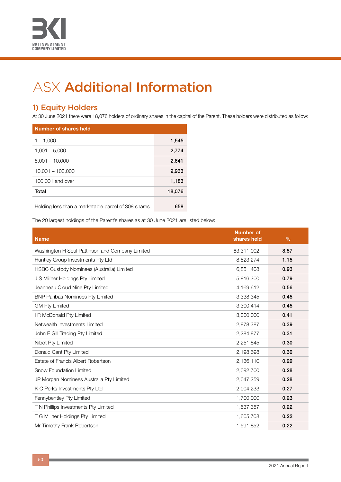<span id="page-51-0"></span>

# ASX Additional Information

# 1) Equity Holders

At 30 June 2021 there were 18,076 holders of ordinary shares in the capital of the Parent. These holders were distributed as follow:

| Number of shares held                               |        |
|-----------------------------------------------------|--------|
| $1 - 1.000$                                         | 1,545  |
| $1.001 - 5.000$                                     | 2,774  |
| $5,001 - 10,000$                                    | 2,641  |
| $10.001 - 100.000$                                  | 9,933  |
| 100,001 and over                                    | 1,183  |
| Total                                               | 18,076 |
| Holding less than a marketable parcel of 308 shares | 658    |

The 20 largest holdings of the Parent's shares as at 30 June 2021 are listed below:

| <b>Name</b>                                     | <b>Number of</b><br>shares held | $\frac{0}{0}$ |
|-------------------------------------------------|---------------------------------|---------------|
| Washington H Soul Pattinson and Company Limited | 63,311,002                      | 8.57          |
| Huntley Group Investments Pty Ltd               | 8,523,274                       | 1.15          |
| HSBC Custody Nominees (Australia) Limited       | 6,851,408                       | 0.93          |
| J S Millner Holdings Pty Limited                | 5,816,300                       | 0.79          |
| Jeanneau Cloud Nine Pty Limited                 | 4,169,612                       | 0.56          |
| <b>BNP Paribas Nominees Pty Limited</b>         | 3,338,345                       | 0.45          |
| <b>GM Pty Limited</b>                           | 3,300,414                       | 0.45          |
| I R McDonald Pty Limited                        | 3,000,000                       | 0.41          |
| Netwealth Investments Limited                   | 2,878,387                       | 0.39          |
| John E Gill Trading Pty Limited                 | 2,284,877                       | 0.31          |
| Nibot Pty Limited                               | 2,251,845                       | 0.30          |
| Donald Cant Pty Limited                         | 2,198,698                       | 0.30          |
| Estate of Francis Albert Robertson              | 2,136,110                       | 0.29          |
| Snow Foundation Limited                         | 2,092,700                       | 0.28          |
| JP Morgan Nominees Australia Pty Limited        | 2,047,259                       | 0.28          |
| K C Perks Investments Pty Ltd                   | 2,004,233                       | 0.27          |
| Fennybentley Pty Limited                        | 1,700,000                       | 0.23          |
| T N Phillips Investments Pty Limited            | 1,637,357                       | 0.22          |
| T G Millner Holdings Pty Limited                | 1,605,708                       | 0.22          |
| Mr Timothy Frank Robertson                      | 1,591,852                       | 0.22          |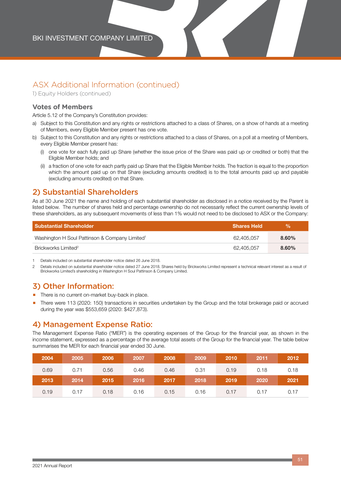#### BKI INVESTMENT COMPANY LIMITED

## ASX Additional Information (continued)

1) Equity Holders (continued)

#### **Votes of Members**

Article 5.12 of the Company's Constitution provides:

- a) Subject to this Constitution and any rights or restrictions attached to a class of Shares, on a show of hands at a meeting of Members, every Eligible Member present has one vote.
- b) Subject to this Constitution and any rights or restrictions attached to a class of Shares, on a poll at a meeting of Members, every Eligible Member present has:
	- (i) one vote for each fully paid up Share (whether the issue price of the Share was paid up or credited or both) that the Eligible Member holds; and
	- (ii) a fraction of one vote for each partly paid up Share that the Eligible Member holds. The fraction is equal to the proportion which the amount paid up on that Share (excluding amounts credited) is to the total amounts paid up and payable (excluding amounts credited) on that Share.

### 2) Substantial Shareholders

As at 30 June 2021 the name and holding of each substantial shareholder as disclosed in a notice received by the Parent is listed below. The number of shares held and percentage ownership do not necessarily reflect the current ownership levels of these shareholders, as any subsequent movements of less than 1% would not need to be disclosed to ASX or the Company:

| Substantial Shareholder                                    | <b>Shares Held</b> | %        |
|------------------------------------------------------------|--------------------|----------|
| Washington H Soul Pattinson & Company Limited <sup>1</sup> | 62.405.057         | $8.60\%$ |
| Brickworks Limited <sup>2</sup>                            | 62.405.057         | $8.60\%$ |

1 Details included on substantial shareholder notice dated 26 June 2018.

Details included on substantial shareholder notice dated 27 June 2018. Shares held by Brickworks Limited represent a technical relevant interest as a result of Brickworks Limited's shareholding in Washington H Soul Pattinson & Company Limited.

### 3) Other Information:

- **P** There is no current on-market buy-back in place.
- **P** There were 113 (2020: 150) transactions in securities undertaken by the Group and the total brokerage paid or accrued during the year was \$553,659 (2020: \$427,873).

### 4) Management Expense Ratio:

The Management Expense Ratio ("MER") is the operating expenses of the Group for the financial year, as shown in the income statement, expressed as a percentage of the average total assets of the Group for the financial year. The table below summarises the MER for each financial year ended 30 June.

| 2004 | 2005 | 2006 | 2007 | 2008 | 2009 | 2010 | 2011 | 2012 |
|------|------|------|------|------|------|------|------|------|
| 0.69 | 0.71 | 0.56 | 0.46 | 0.46 | 0.31 | 0.19 | 0.18 | 0.18 |
| 2013 | 2014 | 2015 | 2016 | 2017 | 2018 | 2019 | 2020 | 2021 |
| 0.19 | 0.17 | 0.18 | 0.16 | 0.15 | 0.16 | 0.17 | 0.17 | 0.17 |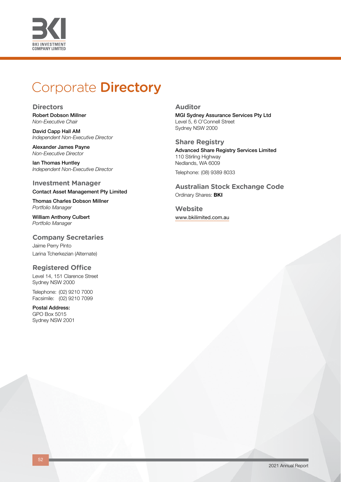<span id="page-53-0"></span>

# Corporate Directory

#### **Directors**

Robert Dobson Millner Non-Executive Chair

David Capp Hall AM Independent Non-Executive Director

Alexander James Payne Non-Executive Director

Ian Thomas Huntley Independent Non-Executive Director

#### **Investment Manager**

Contact Asset Management Pty Limited

Thomas Charles Dobson Millner Portfolio Manager

William Anthony Culbert Portfolio Manager

#### **Company Secretaries**

Jaime Perry Pinto Larina Tcherkezian (Alternate)

#### **Registered Office**

Level 14, 151 Clarence Street Sydney NSW 2000

Telephone: (02) 9210 7000 Facsimile: (02) 9210 7099

Postal Address: GPO Box 5015 Sydney NSW 2001

#### **Auditor**

MGI Sydney Assurance Services Pty Ltd Level 5, 6 O'Connell Street Sydney NSW 2000

#### **Share Registry**

Advanced Share Registry Services Limited 110 Stirling Highway Nedlands, WA 6009

Telephone: (08) 9389 8033

**Australian Stock Exchange Code** Ordinary Shares: **BKI** 

**Website** [www.bkilimited.com.au](http://www.bkilimited.com.au)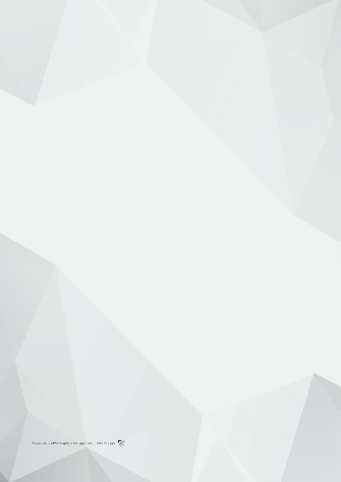Produced by [APM Graphics Management](https://www.apmgraphics.com.au) > 1800 806 930